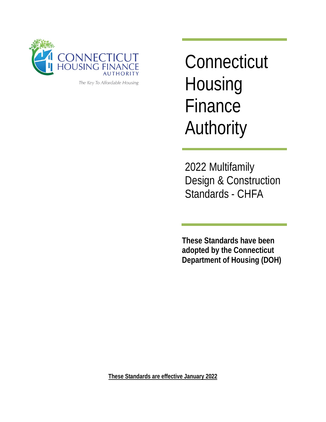

The Key To Affordable Housing

**Connecticut Housing** Finance Authority

2022 Multifamily Design & Construction Standards - CHFA

**These Standards have been adopted by the Connecticut Department of Housing (DOH)**

**These Standards are effective January 2022**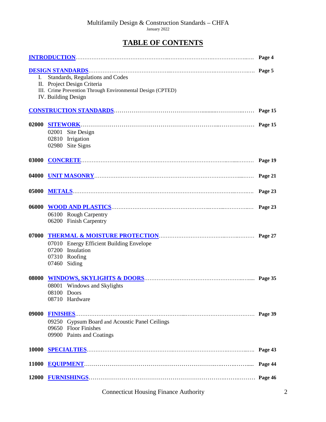# **TABLE OF CONTENTS**

| L.    | Standards, Regulations and Codes<br>II. Project Design Criteria<br>III. Crime Prevention Through Environmental Design (CPTED)<br>IV. Building Design |  |  |
|-------|------------------------------------------------------------------------------------------------------------------------------------------------------|--|--|
|       |                                                                                                                                                      |  |  |
| 02000 | 02001 Site Design<br>02810 Irrigation<br>02980 Site Signs                                                                                            |  |  |
| 03000 |                                                                                                                                                      |  |  |
| 04000 |                                                                                                                                                      |  |  |
| 05000 |                                                                                                                                                      |  |  |
| 06000 | 06100 Rough Carpentry<br>06200 Finish Carpentry                                                                                                      |  |  |
| 07000 | 07010 Energy Efficient Building Envelope<br>07200 Insulation<br>07310 Roofing<br>07460 Siding                                                        |  |  |
| 08000 | 08001 Windows and Skylights<br>08100 Doors<br>08710 Hardware                                                                                         |  |  |
| 09000 | FINISHES. Page 39<br>09250 Gypsum Board and Acoustic Panel Ceilings<br><b>Floor Finishes</b><br>09650<br>09900 Paints and Coatings                   |  |  |
| 10000 |                                                                                                                                                      |  |  |
| 11000 |                                                                                                                                                      |  |  |
| 12000 |                                                                                                                                                      |  |  |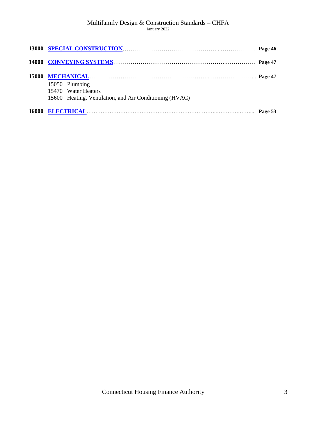| 15050 Plumbing                                          |  |
|---------------------------------------------------------|--|
| 15470 Water Heaters                                     |  |
| 15600 Heating, Ventilation, and Air Conditioning (HVAC) |  |
|                                                         |  |
|                                                         |  |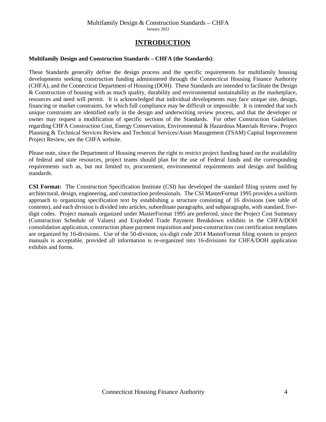# **INTRODUCTION**

## <span id="page-3-0"></span>**Multifamily Design and Construction Standards – CHFA (the Standards)**:

These Standards generally define the design process and the specific requirements for multifamily housing developments seeking construction funding administered through the Connecticut Housing Finance Authority (CHFA), and the Connecticut Department of Housing (DOH). These Standards are intended to facilitate the Design & Construction of housing with as much quality, durability and environmental sustainability as the marketplace, resources and need will permit. It is acknowledged that individual developments may face unique site, design, financing or market constraints, for which full compliance may be difficult or impossible. It is intended that such unique constraints are identified early in the design and underwriting review process, and that the developer or owner may request a modification of specific sections of the Standards. For other Construction Guidelines regarding CHFA Construction Cost, Energy Conservation, Environmental & Hazardous Materials Review, Project Planning & Technical Services Review and Technical Services/Asset Management (TSAM) Capital Improvement Project Review, see the CHFA website.

Please note, since the Department of Housing reserves the right to restrict project funding based on the availability of federal and state resources, project teams should plan for the use of Federal funds and the corresponding requirements such as, but not limited to, procurement, environmental requirements and design and building standards.

**CSI Format:** The Construction Specification Institute (CSI) has developed the standard filing system used by architectural, design, engineering, and construction professionals. The CSI MasterFormat 1995 provides a uniform approach to organizing specification text by establishing a structure consisting of 16 divisions (see table of contents), and each division is divided into articles, subordinate paragraphs, and subparagraphs, with standard, fivedigit codes. Project manuals organized under MasterFormat 1995 are preferred, since the Project Cost Summary (Construction Schedule of Values) and Exploded Trade Payment Breakdown exhibits in the CHFA/DOH consolidation application, construction phase payment requisition and post-construction cost certification templates are organized by 16-divisions. Use of the 50-division, six-digit code 2014 MasterFormat filing system in project manuals is acceptable, provided all information is re-organized into 16-divisions for CHFA/DOH application exhibits and forms.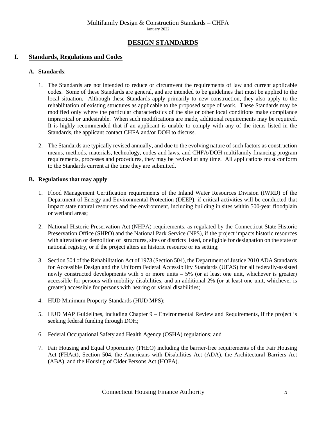# **DESIGN STANDARDS**

# <span id="page-4-0"></span>**I. Standards, Regulations and Codes**

## **A. Standards**:

- 1. The Standards are not intended to reduce or circumvent the requirements of law and current applicable codes.Some of these Standards are general, and are intended to be guidelines that must be applied to the local situation. Although these Standards apply primarily to new construction, they also apply to the rehabilitation of existing structures as applicable to the proposed scope of work. These Standards may be modified only where the particular characteristics of the site or other local conditions make compliance impractical or undesirable. When such modifications are made, additional requirements may be required. It is highly recommended that if an applicant is unable to comply with any of the items listed in the Standards, the applicant contact CHFA and/or DOH to discuss.
- 2. The Standards are typically revised annually, and due to the evolving nature of such factors as construction means, methods, materials, technology, codes and laws, and CHFA/DOH multifamily financing program requirements, processes and procedures, they may be revised at any time. All applications must conform to the Standards current at the time they are submitted.

## **B. Regulations that may apply**:

- 1. Flood Management Certification requirements of the Inland Water Resources Division (IWRD) of the Department of Energy and Environmental Protection (DEEP), if critical activities will be conducted that impact state natural resources and the environment, including building in sites within 500-year floodplain or wetland areas;
- 2. National Historic Preservation Act (NHPA) requirements, as regulated by the Connecticut State Historic Preservation Office (SHPO) and the National Park Service (NPS), if the project impacts historic resources with alteration or demolition of structures, sites or districts listed, or eligible for designation on the state or national registry, or if the project alters an historic resource or its setting;
- 3. Section 504 of the Rehabilitation Act of 1973 (Section 504), the Department of Justice 2010 ADA Standards for Accessible Design and the Uniform Federal Accessibility Standards (UFAS) for all federally-assisted newly constructed developments with 5 or more units – 5% (or at least one unit, whichever is greater) accessible for persons with mobility disabilities, and an additional 2% (or at least one unit, whichever is greater) accessible for persons with hearing or visual disabilities;
- 4. HUD Minimum Property Standards (HUD MPS);
- 5. HUD MAP Guidelines, including Chapter 9 Environmental Review and Requirements, if the project is seeking federal funding through DOH;
- 6. Federal Occupational Safety and Health Agency (OSHA) regulations; and
- 7. Fair Housing and Equal Opportunity (FHEO) including the barrier-free requirements of the Fair Housing Act (FHAct), Section 504, the Americans with Disabilities Act (ADA), the Architectural Barriers Act (ABA), and the Housing of Older Persons Act (HOPA).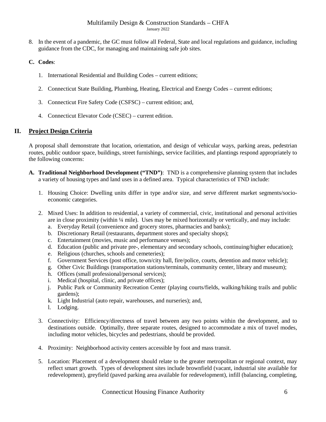8. In the event of a pandemic, the GC must follow all Federal, State and local regulations and guidance, including guidance from the CDC, for managing and maintaining safe job sites.

# **C. Codes**:

- 1. International Residential and Building Codes current editions;
- 2. Connecticut State Building, Plumbing, Heating, Electrical and Energy Codes current editions;
- 3. Connecticut Fire Safety Code (CSFSC) current edition; and,
- 4. Connecticut Elevator Code (CSEC) current edition.

# **II. Project Design Criteria**

A proposal shall demonstrate that location, orientation, and design of vehicular ways, parking areas, pedestrian routes, public outdoor space, buildings, street furnishings, service facilities, and plantings respond appropriately to the following concerns:

- **A. Traditional Neighborhood Development ("TND")**: TND is a comprehensive planning system that includes a variety of housing types and land uses in a defined area. Typical characteristics of TND include:
	- 1. Housing Choice: Dwelling units differ in type and/or size, and serve different market segments/socioeconomic categories.
	- 2. Mixed Uses: In addition to residential, a variety of commercial, civic, institutional and personal activities are in close proximity (within  $\frac{1}{4}$  mile). Uses may be mixed horizontally or vertically, and may include:
		- a. Everyday Retail (convenience and grocery stores, pharmacies and banks);
		- b. Discretionary Retail (restaurants, department stores and specialty shops);
		- c. Entertainment (movies, music and performance venues);
		- d. Education (public and private pre-, elementary and secondary schools, continuing/higher education);
		- e. Religious (churches, schools and cemeteries);
		- f. Government Services (post office, town/city hall, fire/police, courts, detention and motor vehicle);
		- g. Other Civic Buildings (transportation stations/terminals, community center, library and museum);
		- h. Offices (small professional/personal services);
		- i. Medical (hospital, clinic, and private offices);
		- j. Public Park or Community Recreation Center (playing courts/fields, walking/hiking trails and public gardens);
		- k. Light Industrial (auto repair, warehouses, and nurseries); and,
		- l. Lodging.
	- 3. Connectivity: Efficiency/directness of travel between any two points within the development, and to destinations outside. Optimally, three separate routes, designed to accommodate a mix of travel modes, including motor vehicles, bicycles and pedestrians, should be provided.
	- 4. Proximity: Neighborhood activity centers accessible by foot and mass transit.
	- 5. Location: Placement of a development should relate to the greater metropolitan or regional context, may reflect smart growth. Types of development sites include brownfield (vacant, industrial site available for redevelopment), greyfield (paved parking area available for redevelopment), infill (balancing, completing,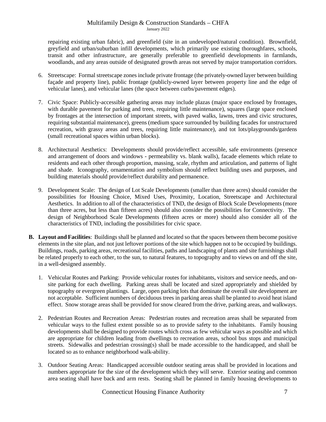repairing existing urban fabric), and greenfield (site in an undeveloped/natural condition). Brownfield, greyfield and urban/suburban infill developments, which primarily use existing thoroughfares, schools, transit and other infrastructure, are generally preferable to greenfield developments in farmlands, woodlands, and any areas outside of designated growth areas not served by major transportation corridors.

- 6. Streetscape: Formal streetscape zones include private frontage (the privately-owned layer between building façade and property line), public frontage (publicly-owned layer between property line and the edge of vehicular lanes), and vehicular lanes (the space between curbs/pavement edges).
- 7. Civic Space: Publicly-accessible gathering areas may include plazas (major space enclosed by frontages, with durable pavement for parking and trees, requiring little maintenance), squares (large space enclosed by frontages at the intersection of important streets, with paved walks, lawns, trees and civic structures, requiring substantial maintenance), greens (medium space surrounded by building facades for unstructured recreation, with grassy areas and trees, requiring little maintenance), and tot lots/playgrounds/gardens (small recreational spaces within urban blocks).
- 8. Architectural Aesthetics: Developments should provide/reflect accessible, safe environments (presence and arrangement of doors and windows - permeability vs. blank walls), facade elements which relate to residents and each other through proportion, massing, scale, rhythm and articulation, and patterns of light and shade. Iconography, ornamentation and symbolism should reflect building uses and purposes, and building materials should provide/reflect durability and permanence.
- 9. Development Scale: The design of Lot Scale Developments (smaller than three acres) should consider the possibilities for Housing Choice, Mixed Uses, Proximity, Location, Streetscape and Architectural Aesthetics. In addition to all of the characteristics of TND, the design of Block Scale Developments (more than three acres, but less than fifteen acres) should also consider the possibilities for Connectivity. The design of Neighborhood Scale Developments (fifteen acres or more) should also consider all of the characteristics of TND, including the possibilities for civic space.
- **B. Layout and Facilities**: Buildings shall be planned and located so that the spaces between them become positive elements in the site plan, and not just leftover portions of the site which happen not to be occupied by buildings. Buildings, roads, parking areas, recreational facilities, paths and landscaping of plants and site furnishings shall be related properly to each other, to the sun, to natural features, to topography and to views on and off the site, in a well-designed assembly.
	- 1. Vehicular Routes and Parking: Provide vehicular routes for inhabitants, visitors and service needs, and onsite parking for each dwelling. Parking areas shall be located and sized appropriately and shielded by topography or evergreen plantings. Large, open parking lots that dominate the overall site development are not acceptable. Sufficient numbers of deciduous trees in parking areas shall be planted to avoid heat island effect. Snow storage areas shall be provided for snow cleared from the drive, parking areas, and walkways.
	- 2. Pedestrian Routes and Recreation Areas: Pedestrian routes and recreation areas shall be separated from vehicular ways to the fullest extent possible so as to provide safety to the inhabitants. Family housing developments shall be designed to provide routes which cross as few vehicular ways as possible and which are appropriate for children leading from dwellings to recreation areas, school bus stops and municipal streets. Sidewalks and pedestrian crossing(s) shall be made accessible to the handicapped, and shall be located so as to enhance neighborhood walk-ability.
	- 3. Outdoor Seating Areas:Handicapped accessible outdoor seating areas shall be provided in locations and numbers appropriate for the size of the development which they will serve. Exterior seating and common area seating shall have back and arm rests. Seating shall be planned in family housing developments to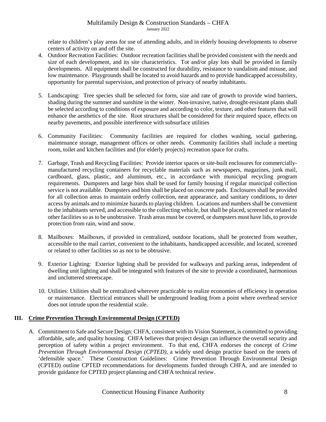relate to children's play areas for use of attending adults, and in elderly housing developments to observe centers of activity on and off the site.

- 4. Outdoor Recreation Facilities:Outdoor recreation facilities shall be provided consistent with the needs and size of each development, and its site characteristics. Tot and/or play lots shall be provided in family developments. All equipment shall be constructed for durability, resistance to vandalism and misuse, and low maintenance. Playgrounds shall be located to avoid hazards and to provide handicapped accessibility, opportunity for parental supervision, and protection of privacy of nearby inhabitants.
- 5. Landscaping:Tree species shall be selected for form, size and rate of growth to provide wind barriers, shading during the summer and sunshine in the winter. Non-invasive, native, drought-resistant plants shall be selected according to conditions of exposure and according to color, texture, and other features that will enhance the aesthetics of the site. Root structures shall be considered for their required space, effects on nearby pavements, and possible interference with subsurface utilities
- 6. Community Facilities:Community facilities are required for clothes washing, social gathering, maintenance storage, management offices or other needs. Community facilities shall include a meeting room, toilet and kitchen facilities and (for elderly projects) recreation space for crafts.
- 7. Garbage, Trash and Recycling Facilities:Provide interior spaces or site-built enclosures for commerciallymanufactured recycling containers for recyclable materials such as newspapers, magazines, junk mail, cardboard, glass, plastic, and aluminum, etc., in accordance with municipal recycling program requirements. Dumpsters and large bins shall be used for family housing if regular municipal collection service is not available. Dumpsters and bins shall be placed on concrete pads. Enclosures shall be provided for all collection areas to maintain orderly collection, neat appearance, and sanitary conditions, to deter access by animals and to minimize hazards to playing children. Locations and numbers shall be convenient to the inhabitants served, and accessible to the collecting vehicle, but shall be placed, screened or related to other facilities so as to be unobtrusive. Trash areas must be covered, or dumpsters must have lids, to provide protection from rain, wind and snow.
- 8. Mailboxes:Mailboxes, if provided in centralized, outdoor locations, shall be protected from weather, accessible to the mail carrier, convenient to the inhabitants, handicapped accessible, and located, screened or related to other facilities so as not to be obtrusive.
- 9. Exterior Lighting:Exterior lighting shall be provided for walkways and parking areas, independent of dwelling unit lighting and shall be integrated with features of the site to provide a coordinated, harmonious and uncluttered streetscape.
- 10. Utilities: Utilities shall be centralized wherever practicable to realize economies of efficiency in operation or maintenance. Electrical entrances shall be underground leading from a point where overhead service does not intrude upon the residential scale.

# **III. Crime Prevention Through Environmental Design (CPTED)**

A. Commitment to Safe and Secure Design: CHFA, consistent with its Vision Statement, is committed to providing affordable, safe, and quality housing. CHFA believes that project design can influence the overall security and perception of safety within a project environment. To that end, CHFA endorses the concept of *Crime Prevention Through Environmental Design (CPTED)*, a widely used design practice based on the tenets of 'defensible space.' These Construction Guidelines: Crime Prevention Through Environmental Design (CPTED) outline CPTED recommendations for developments funded through CHFA, and are intended to provide guidance for CPTED project planning and CHFA technical review.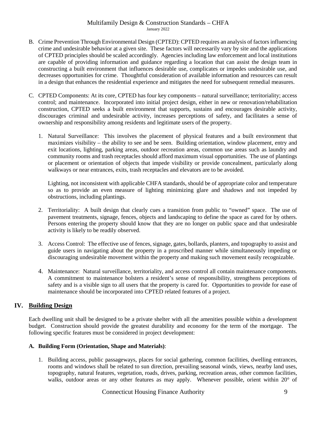- B. Crime Prevention Through Environmental Design (CPTED): CPTED requires an analysis of factors influencing crime and undesirable behavior at a given site. These factors will necessarily vary by site and the applications of CPTED principles should be scaled accordingly. Agencies including law enforcement and local institutions are capable of providing information and guidance regarding a location that can assist the design team in constructing a built environment that influences desirable use, complicates or impedes undesirable use, and decreases opportunities for crime. Thoughtful consideration of available information and resources can result in a design that enhances the residential experience and mitigates the need for subsequent remedial measures.
- C. CPTED Components: At its core, CPTED has four key components natural surveillance; territoriality; access control; and maintenance. Incorporated into initial project design, either in new or renovation/rehabilitation construction, CPTED seeks a built environment that supports, sustains and encourages desirable activity, discourages criminal and undesirable activity, increases perceptions of safety, and facilitates a sense of ownership and responsibility among residents and legitimate users of the property.
	- 1. Natural Surveillance: This involves the placement of physical features and a built environment that maximizes visibility – the ability to see and be seen. Building orientation, window placement, entry and exit locations, lighting, parking areas, outdoor recreation areas, common use areas such as laundry and community rooms and trash receptacles should afford maximum visual opportunities. The use of plantings or placement or orientation of objects that impede visibility or provide concealment, particularly along walkways or near entrances, exits, trash receptacles and elevators are to be avoided.

Lighting, not inconsistent with applicable CHFA standards, should be of appropriate color and temperature so as to provide an even measure of lighting minimizing glare and shadows and not impeded by obstructions, including plantings.

- 2. Territoriality: A built design that clearly cues a transition from public to "owned" space. The use of pavement treatments, signage, fences, objects and landscaping to define the space as cared for by others. Persons entering the property should know that they are no longer on public space and that undesirable activity is likely to be readily observed.
- 3. Access Control: The effective use of fences, signage, gates, bollards, planters, and topography to assist and guide users in navigating about the property in a proscribed manner while simultaneously impeding or discouraging undesirable movement within the property and making such movement easily recognizable.
- 4. Maintenance: Natural surveillance, territoriality, and access control all contain maintenance components. A commitment to maintenance bolsters a resident's sense of responsibility, strengthens perceptions of safety and is a visible sign to all users that the property is cared for. Opportunities to provide for ease of maintenance should be incorporated into CPTED related features of a project.

# **IV. Building Design**

Each dwelling unit shall be designed to be a private shelter with all the amenities possible within a development budget. Construction should provide the greatest durability and economy for the term of the mortgage. The following specific features must be considered in project development:

# **A. Building Form (Orientation, Shape and Materials)**:

1. Building access, public passageways, places for social gathering, common facilities, dwelling entrances, rooms and windows shall be related to sun direction, prevailing seasonal winds, views, nearby land uses, topography, natural features, vegetation, roads, drives, parking, recreation areas, other common facilities, walks, outdoor areas or any other features as may apply. Whenever possible, orient within 20° of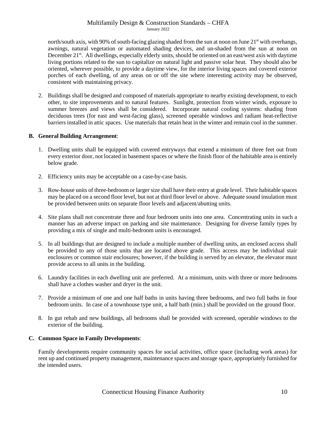north/south axis, with 90% of south-facing glazing shaded from the sun at noon on June  $21<sup>st</sup>$  with overhangs, awnings, natural vegetation or automated shading devices, and un-shaded from the sun at noon on December 21<sup>st</sup>. All dwellings, especially elderly units, should be oriented on an east/west axis with daytime living portions related to the sun to capitalize on natural light and passive solar heat. They should also be oriented, wherever possible, to provide a daytime view, for the interior living spaces and covered exterior porches of each dwelling, of any areas on or off the site where interesting activity may be observed, consistent with maintaining privacy.

2. Buildings shall be designed and composed of materials appropriate to nearby existing development, to each other, to site improvements and to natural features. Sunlight, protection from winter winds, exposure to summer breezes and views shall be considered. Incorporate natural cooling systems: shading from deciduous trees (for east and west-facing glass), screened operable windows and radiant heat-reflective barriers installed in attic spaces. Use materials that retain heat in the winter and remain cool in the summer.

## **B. General Building Arrangement**:

- 1. Dwelling units shall be equipped with covered entryways that extend a minimum of three feet out from every exterior door, not located in basement spaces or where the finish floor of the habitable area is entirely below grade.
- 2. Efficiency units may be acceptable on a case-by-case basis.
- 3. Row-house units of three-bedroom or larger size shall have their entry at grade level. Their habitable spaces may be placed on a second floor level, but not at third floor level or above. Adequate sound insulation must be provided between units on separate floor levels and adjacent/abutting units.
- 4. Site plans shall not concentrate three and four bedroom units into one area. Concentrating units in such a manner has an adverse impact on parking and site maintenance. Designing for diverse family types by providing a mix of single and multi-bedroom units is encouraged.
- 5. In all buildings that are designed to include a multiple number of dwelling units, an enclosed access shall be provided to any of those units that are located above grade. This access may be individual stair enclosures or common stair enclosures; however, if the building is served by an elevator, the elevator must provide access to all units in the building.
- 6. Laundry facilities in each dwelling unit are preferred. At a minimum, units with three or more bedrooms shall have a clothes washer and dryer in the unit.
- 7. Provide a minimum of one and one half baths in units having three bedrooms, and two full baths in four bedroom units. In case of a townhouse type unit, a half bath (min.) shall be provided on the ground floor.
- 8. In gut rehab and new buildings, all bedrooms shall be provided with screened, operable windows to the exterior of the building.

## **C. Common Space in Family Developments**:

Family developments require community spaces for social activities, office space (including work areas) for rent up and continued property management, maintenance spaces and storage space, appropriately furnished for the intended users.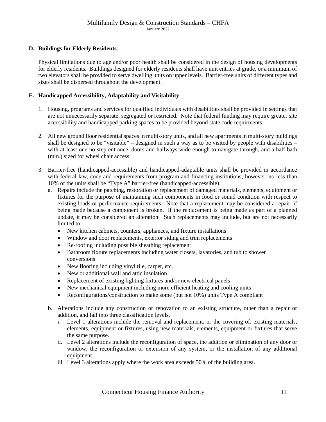# **D. Buildings for Elderly Residents**:

Physical limitations due to age and/or poor health shall be considered in the design of housing developments for elderly residents. Buildings designed for elderly residents shall have unit entries at grade, or a minimum of two elevators shall be provided to serve dwelling units on upper levels. Barrier-free units of different types and sizes shall be dispersed throughout the development.

# **E. Handicapped Accessibility, Adaptability and Visitability**:

- 1. Housing, programs and services for qualified individuals with disabilities shall be provided in settings that are not unnecessarily separate, segregated or restricted. Note that federal funding may require greater site accessibility and handicapped parking spaces to be provided beyond state code requirments.
- 2. All new ground floor residential spaces in multi-story units, and all new apartments in multi-story buildings shall be designed to be "visitable" – designed in such a way as to be visited by people with disabilities – with at least one no-step entrance, doors and hallways wide enough to navigate through, and a half bath (min.) sized for wheel chair access.
- 3. Barrier-free (handicapped-accessible) and handicapped-adaptable units shall be provided in accordance with federal law, code and requirements from program and financing institutions; however, no less than 10% of the units shall be "Type A" barrier-free (handicapped-accessible).
	- a. Repairs include the patching, restoration or replacement of damaged materials, elements, equipment or fixtures for the purpose of maintaining such components in food or sound condition with respect to existing loads or performance requirements. Note that a replacement may be considered a repair, if being made because a component is broken. If the replacement is being made as part of a planned update, it may be considered an alteration. Such replacements may include, but are not necessarily limited to:
		- New kitchen cabinets, counters, appliances, and fixture installations
		- Window and door replacements, exterior siding and trim replacements
		- Re-roofing including possible sheathing replacement
		- Bathroom fixture replacements including water closets, lavatories, and tub to shower conversions
		- New flooring including vinyl tile, carpet, etc.
		- New or additional wall and attic insulation
		- Replacement of existing lighting fixtures and/or new electrical panels
		- New mechanical equipment including more efficient heating and cooling units
		- Reconfigurations/construction to make some (but not 10%) units Type A compliant
	- b. Alterations include any construction or renovation to an existing structure, other than a repair or addition, and fall into three classification levels.
		- i. Level 1 alterations include the removal and replacement, or the covering of, existing materials, elements, equipment or fixtures, using new materials, elements, equipment or fixtures that serve the same purpose.
		- ii. Level 2 alterations include the reconfiguration of space, the addition or elimination of any door or window, the reconfiguration or extension of any system, or the installation of any additional equipment.
		- iii Level 3 alterations apply where the work area exceeds 50% of the building area.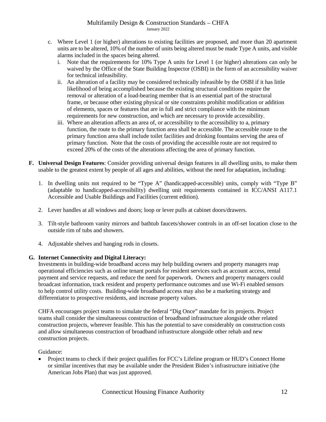- c. Where Level 1 (or higher) alterations to existing facilities are proposed, and more than 20 apartment units are to be altered, 10% of the number of units being altered must be made Type A units, and visible alarms included in the spaces being altered.
	- i. Note that the requirements for 10% Type A units for Level 1 (or higher) alterations can only be waived by the Office of the State Building Inspector (OSBI) in the form of an accessibility waiver for technical infeasibility.
	- ii. An alteration of a facility may be considered technically infeasible by the OSBI if it has little likelihood of being accomplished because the existing structural conditions require the removal or alteration of a load-bearing member that is an essential part of the structural frame, or because other existing physical or site constraints prohibit modification or addition of elements, spaces or features that are in full and strict compliance with the minimum requirements for new construction, and which are necessary to provide accessibility.
	- iii. Where an alteration affects an area of, or accessibility to the accessibility to a, primary function, the route to the primary function area shall be accessible. The accessible route to the primary function area shall include toilet facilities and drinking fountains serving the area of primary function. Note that the costs of providing the accessible route are not required to exceed 20% of the costs of the alterations affecting the area of primary function.
- **F. Universal Design Features**: Consider providing universal design features in all dwelling units, to make them usable to the greatest extent by people of all ages and abilities, without the need for adaptation, including:
	- 1. In dwelling units not required to be "Type A" (handicapped-accessible) units, comply with "Type B" (adaptable to handicapped-accessibility) dwelling unit requirements contained in ICC/ANSI A117.1 Accessible and Usable Buildings and Facilities (current edition).
	- 2. Lever handles at all windows and doors; loop or lever pulls at cabinet doors/drawers.
	- 3. Tilt-style bathroom vanity mirrors and bathtub faucets/shower controls in an off-set location close to the outside rim of tubs and showers.
	- 4. Adjustable shelves and hanging rods in closets.

# **G. Internet Connectivity and Digital Literacy:**

Investments in building-wide broadband access may help building owners and property managers reap operational efficiencies such as online tenant portals for resident services such as account access, rental payment and service requests, and reduce the need for paperwork. Owners and property managers could broadcast information, track resident and property performance outcomes and use Wi-Fi enabled sensors to help control utility costs. Building-wide broadband access may also be a marketing strategy and differentiator to prospective residents, and increase property values.

CHFA encourages project teams to simulate the federal "Dig Once" mandate for its projects. Project teams shall consider the simultaneous construction of broadband infrastructure alongside other related construction projects, wherever feasible. This has the potential to save considerably on construction costs and allow simultaneous construction of broadband infrastructure alongside other rehab and new construction projects.

Guidance:

• Project teams to check if their project qualifies for FCC's Lifeline program or HUD's Connect Home or similar incentives that may be available under the President Biden's infrastructure initiative (the American Jobs Plan) that was just approved.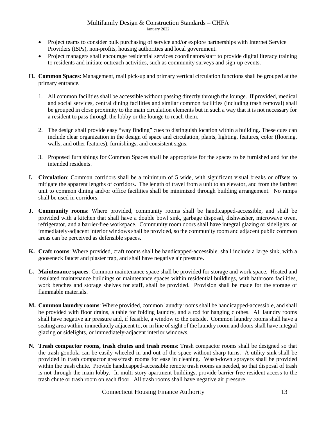- Project teams to consider bulk purchasing of service and/or explore partnerships with Internet Service Providers (ISPs), non-profits, housing authorities and local government.
- Project managers shall encourage residential services coordinators/staff to provide digital literacy training to residents and initiate outreach activities, such as community surveys and sign-up events.
- **H. Common Spaces**: Management, mail pick-up and primary vertical circulation functions shall be grouped at the primary entrance.
	- 1. All common facilities shall be accessible without passing directly through the lounge. If provided, medical and social services, central dining facilities and similar common facilities (including trash removal) shall be grouped in close proximity to the main circulation elements but in such a way that it is not necessary for a resident to pass through the lobby or the lounge to reach them.
	- 2. The design shall provide easy "way finding" cues to distinguish location within a building. These cues can include clear organization in the design of space and circulation, plants, lighting, features, color (flooring, walls, and other features), furnishings, and consistent signs.
	- 3. Proposed furnishings for Common Spaces shall be appropriate for the spaces to be furnished and for the intended residents.
- **I. Circulation**: Common corridors shall be a minimum of 5 wide, with significant visual breaks or offsets to mitigate the apparent lengths of corridors. The length of travel from a unit to an elevator, and from the farthest unit to common dining and/or office facilities shall be minimized through building arrangement. No ramps shall be used in corridors.
- **J. Community rooms**: Where provided, community rooms shall be handicapped-accessible, and shall be provided with a kitchen that shall have a double bowl sink, garbage disposal, dishwasher, microwave oven, refrigerator, and a barrier-free workspace. Community room doors shall have integral glazing or sidelights, or immediately-adjacent interior windows shall be provided, so the community room and adjacent public common areas can be perceived as defensible spaces.
- **K. Craft rooms**: Where provided, craft rooms shall be handicapped-accessible, shall include a large sink, with a gooseneck faucet and plaster trap, and shall have negative air pressure.
- **L. Maintenance spaces**: Common maintenance space shall be provided for storage and work space. Heated and insulated maintenance buildings or maintenance spaces within residential buildings, with bathroom facilities, work benches and storage shelves for staff, shall be provided. Provision shall be made for the storage of flammable materials.
- **M. Common laundry rooms**: Where provided, common laundry rooms shall be handicapped-accessible, and shall be provided with floor drains, a table for folding laundry, and a rod for hanging clothes. All laundry rooms shall have negative air pressure and, if feasible, a window to the outside. Common laundry rooms shall have a seating area within, immediately adjacent to, or in line of sight of the laundry room and doors shall have integral glazing or sidelights, or immediately-adjacent interior windows.
- **N. Trash compactor rooms, trash chutes and trash rooms**: Trash compactor rooms shall be designed so that the trash gondola can be easily wheeled in and out of the space without sharp turns. A utility sink shall be provided in trash compactor areas/trash rooms for ease in cleaning. Wash-down sprayers shall be provided within the trash chute. Provide handicapped-accessible remote trash rooms as needed, so that disposal of trash is not through the main lobby. In multi-story apartment buildings, provide barrier-free resident access to the trash chute or trash room on each floor. All trash rooms shall have negative air pressure.

Connecticut Housing Finance Authority 13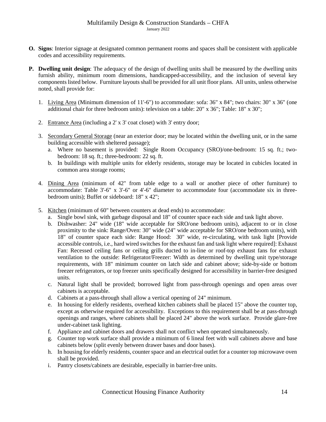- **O. Signs**: Interior signage at designated common permanent rooms and spaces shall be consistent with applicable codes and accessibility requirements.
- **P. Dwelling unit design**: The adequacy of the design of dwelling units shall be measured by the dwelling units furnish ability, minimum room dimensions, handicapped-accessibility, and the inclusion of several key components listed below. Furniture layouts shall be provided for all unit floor plans. All units, unless otherwise noted, shall provide for:
	- 1. Living Area (Minimum dimension of 11'-6") to accommodate: sofa: 36" x 84"; two chairs: 30" x 36" (one additional chair for three bedroom units): television on a table: 20" x 36"; Table: 18" x 30";
	- 2. Entrance Area (including a 2' x 3' coat closet) with 3' entry door;
	- 3. Secondary General Storage (near an exterior door; may be located within the dwelling unit, or in the same building accessible with sheltered passage);
		- a. Where no basement is provided: Single Room Occupancy (SRO)/one-bedroom: 15 sq. ft.; twobedroom: 18 sq. ft.; three-bedroom: 22 sq. ft.
		- b. In buildings with multiple units for elderly residents, storage may be located in cubicles located in common area storage rooms;
	- 4. Dining Area (minimum of 42" from table edge to a wall or another piece of other furniture) to accommodate: Table 3'-6" x 3'-6" or 4'-6" diameter to accommodate four (accommodate six in threebedroom units); Buffet or sideboard: 18" x 42";
	- 5. Kitchen (minimum of 60" between counters at dead ends) to accommodate:
		- a. Single bowl sink, with garbage disposal and 18" of counter space each side and task light above.
		- b. Dishwasher: 24" wide (18" wide acceptable for SRO/one bedroom units), adjacent to or in close proximity to the sink: Range/Oven: 30" wide (24" wide acceptable for SRO/one bedroom units), with 18" of counter space each side: Range Hood: 30" wide, re-circulating, with task light [Provide accessible controls, i.e., hard wired switches for the exhaust fan and task light where required]: Exhaust Fan: Recessed ceiling fans or ceiling grills ducted to in-line or roof-top exhaust fans for exhaust ventilation to the outside: Refrigerator/Freezer: Width as determined by dwelling unit type/storage requirements, with 18" minimum counter on latch side and cabinet above; side-by-side or bottom freezer refrigerators, or top freezer units specifically designed for accessibility in barrier-free designed units.
		- c. Natural light shall be provided; borrowed light from pass-through openings and open areas over cabinets is acceptable.
		- d. Cabinets at a pass-through shall allow a vertical opening of 24" minimum.
		- e. In housing for elderly residents, overhead kitchen cabinets shall be placed 15" above the counter top, except as otherwise required for accessibility. Exceptions to this requirement shall be at pass-through openings and ranges, where cabinets shall be placed 24" above the work surface. Provide glare-free under-cabinet task lighting.
		- f. Appliance and cabinet doors and drawers shall not conflict when operated simultaneously.
		- g. Counter top work surface shall provide a minimum of 6 lineal feet with wall cabinets above and base cabinets below (split evenly between drawer bases and door bases).
		- h. In housing for elderly residents, counter space and an electrical outlet for a counter top microwave oven shall be provided.
		- i. Pantry closets/cabinets are desirable, especially in barrier-free units.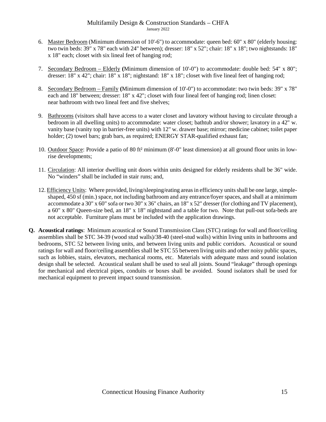- 6. Master Bedroom (Minimum dimension of 10'-6") to accommodate: queen bed: 60" x 80" (elderly housing: two twin beds: 39" x 78" each with 24" between); dresser: 18" x 52"; chair: 18" x 18"; two nightstands: 18" x 18" each; closet with six lineal feet of hanging rod;
- 7. Secondary Bedroom Elderly **(**Minimum dimension of 10'-0") to accommodate: double bed: 54" x 80"; dresser: 18" x 42"; chair: 18" x 18"; nightstand: 18" x 18"; closet with five lineal feet of hanging rod;
- 8. Secondary Bedroom Family **(**Minimum dimension of 10'-0") to accommodate: two twin beds: 39" x 78" each and 18" between; dresser: 18" x 42"; closet with four lineal feet of hanging rod; linen closet: near bathroom with two lineal feet and five shelves;
- 9. Bathrooms (visitors shall have access to a water closet and lavatory without having to circulate through a bedroom in all dwelling units) to accommodate: water closet; bathtub and/or shower; lavatory in a 42" w. vanity base (vanity top in barrier-free units) with 12" w. drawer base; mirror; medicine cabinet; toilet paper holder; (2) towel bars; grab bars, as required; ENERGY STAR-qualified exhaust fan;
- 10. Outdoor Space: Provide a patio of 80 ft² minimum (8'-0" least dimension) at all ground floor units in lowrise developments;
- 11. Circulation: All interior dwelling unit doors within units designed for elderly residents shall be 36" wide. No "winders" shall be included in stair runs; and,
- 12. Efficiency Units: Where provided, living/sleeping/eating areasin efficiency units shall be one large, simpleshaped, 450 sf (min.) space, not including bathroom and any entrance/foyer spaces, and shall at a minimum accommodate a 30" x 60" sofa or two 30" x 36" chairs, an 18" x 52" dresser (for clothing and TV placement), a 60" x 80" Queen-size bed, an 18" x 18" nightstand and a table for two. Note that pull-out sofa-beds are not acceptable. Furniture plans must be included with the application drawings.
- **Q. Acoustical ratings**: Minimum acoustical or Sound Transmission Class (STC) ratings for wall and floor/ceiling assemblies shall be STC 34-39 (wood stud walls)/38-40 (steel-stud walls) within living units in bathrooms and bedrooms, STC 52 between living units, and between living units and public corridors. Acoustical or sound ratings for wall and floor/ceiling assemblies shall be STC 55 between living units and other noisy public spaces, such as lobbies, stairs, elevators, mechanical rooms, etc. Materials with adequate mass and sound isolation design shall be selected. Acoustical sealant shall be used to seal all joints. Sound "leakage" through openings for mechanical and electrical pipes, conduits or boxes shall be avoided. Sound isolators shall be used for mechanical equipment to prevent impact sound transmission.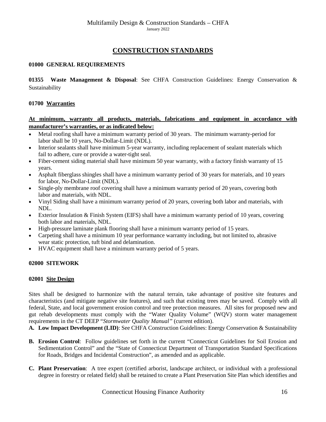# **CONSTRUCTION STANDARDS**

## <span id="page-15-0"></span>**01000 GENERAL REQUIREMENTS**

**01355 Waste Management & Disposal**: See CHFA Construction Guidelines: Energy Conservation & Sustainability

## **01700 Warranties**

# **At minimum, warranty all products, materials, fabrications and equipment in accordance with manufacturer's warranties, or as indicated below:**

- Metal roofing shall have a minimum warranty period of 30 years. The minimum warranty-period for labor shall be 10 years, No-Dollar-Limit (NDL).
- Interior sealants shall have minimum 5-year warranty, including replacement of sealant materials which fail to adhere, cure or provide a water-tight seal.
- Fiber-cement siding material shall have minimum 50 year warranty, with a factory finish warranty of 15 years.
- Asphalt fiberglass shingles shall have a minimum warranty period of 30 years for materials, and 10 years for labor, No-Dollar-Limit (NDL).
- Single-ply membrane roof covering shall have a minimum warranty period of 20 years, covering both labor and materials, with NDL.
- Vinyl Siding shall have a minimum warranty period of 20 years, covering both labor and materials, with NDL.
- Exterior Insulation & Finish System (EIFS) shall have a minimum warranty period of 10 years, covering both labor and materials, NDL.
- High-pressure laminate plank flooring shall have a minimum warranty period of 15 years.
- Carpeting shall have a minimum 10 year performance warranty including, but not limited to, abrasive wear static protection, tuft bind and delamination.
- HVAC equipment shall have a minimum warranty period of 5 years.

## <span id="page-15-1"></span>**02000 SITEWORK**

## **02001 Site Design**

Sites shall be designed to harmonize with the natural terrain, take advantage of positive site features and characteristics (and mitigate negative site features), and such that existing trees may be saved. Comply with all federal, State, and local government erosion control and tree protection measures. All sites for proposed new and gut rehab developments must comply with the "Water Quality Volume" (WQV) storm water management requirements in the CT DEEP "*Stormwater Quality Manual"* (current edition).

**A. Low Impact Development (LID)**: See CHFA Construction Guidelines: Energy Conservation & Sustainability

- **B. Erosion Control**: Follow guidelines set forth in the current "Connecticut Guidelines for Soil Erosion and Sedimentation Control" and the "State of Connecticut Department of Transportation Standard Specifications for Roads, Bridges and Incidental Construction", as amended and as applicable.
- **C. Plant Preservation**: A tree expert (certified arborist, landscape architect, or individual with a professional degree in forestry or related field) shall be retained to create a Plant Preservation Site Plan which identifies and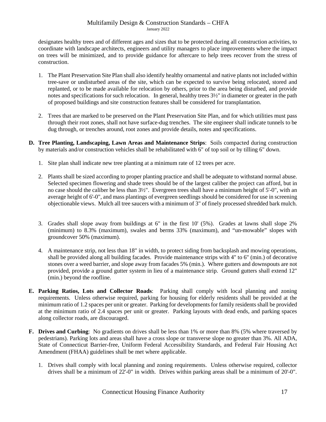designates healthy trees and of different ages and sizes that to be protected during all construction activities, to coordinate with landscape architects, engineers and utility managers to place improvements where the impact on trees will be minimized, and to provide guidance for aftercare to help trees recover from the stress of construction.

- 1. The Plant Preservation Site Plan shall also identify healthy ornamental and native plants not included within tree-save or undisturbed areas of the site, which can be expected to survive being relocated, stored and replanted, or to be made available for relocation by others, prior to the area being disturbed, and provide notes and specifications for such relocation. In general, healthy trees 3½" in diameter or greater in the path of proposed buildings and site construction features shall be considered for transplantation.
- 2. Trees that are marked to be preserved on the Plant Preservation Site Plan, and for which utilities must pass through their root zones, shall not have surface-dug trenches. The site engineer shall indicate tunnels to be dug through, or trenches around, root zones and provide details, notes and specifications.
- **D. Tree Planting, Landscaping, Lawn Areas and Maintenance Strips**: Soils compacted during construction by materials and/or construction vehicles shall be rehabilitated with 6" of top soil or by tilling 6" down.
	- 1. Site plan shall indicate new tree planting at a minimum rate of 12 trees per acre.
	- 2. Plants shall be sized according to proper planting practice and shall be adequate to withstand normal abuse. Selected specimen flowering and shade trees should be of the largest caliber the project can afford, but in no case should the caliber be less than 3½". Evergreen trees shall have a minimum height of 5'-0", with an average height of 6'-0", and mass plantings of evergreen seedlings should be considered for use in screening objectionable views. Mulch all tree saucers with a minimum of 3" of finely processed shredded bark mulch.
	- 3. Grades shall slope away from buildings at 6" in the first 10' (5%). Grades at lawns shall slope 2% (minimum) to 8.3% (maximum), swales and berms 33% (maximum), and "un-mowable" slopes with groundcover 50% (maximum).
	- 4. A maintenance strip, not less than 18" in width, to protect siding from backsplash and mowing operations, shall be provided along all building facades. Provide maintenance strips with 4" to 6" (min.) of decorative stones over a weed barrier, and slope away from facades 5% (min.). Where gutters and downspouts are not provided, provide a ground gutter system in lieu of a maintenance strip. Ground gutters shall extend 12" (min.) beyond the roofline.
- **E. Parking Ratios, Lots and Collector Roads**: Parking shall comply with local planning and zoning requirements. Unless otherwise required, parking for housing for elderly residents shall be provided at the minimum ratio of 1.2 spaces per unit or greater. Parking for developments for family residents shall be provided at the minimum ratio of 2.4 spaces per unit or greater. Parking layouts with dead ends, and parking spaces along collector roads, are discouraged.
- **F. Drives and Curbing**: No gradients on drives shall be less than 1% or more than 8% (5% where traversed by pedestrians). Parking lots and areas shall have a cross slope or transverse slope no greater than 3%. All ADA, State of Connecticut Barrier-free, Uniform Federal Accessibility Standards, and Federal Fair Housing Act Amendment (FHAA) guidelines shall be met where applicable.
	- 1. Drives shall comply with local planning and zoning requirements. Unless otherwise required, collector drives shall be a minimum of 22'-0" in width. Drives within parking areas shall be a minimum of 20'-0".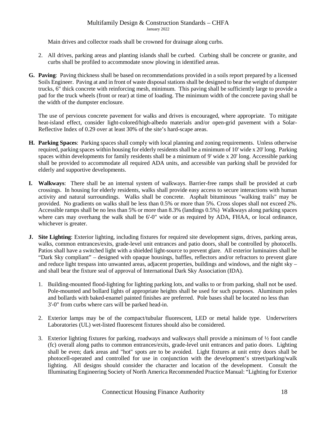Main drives and collector roads shall be crowned for drainage along curbs.

- 2. All drives, parking areas and planting islands shall be curbed. Curbing shall be concrete or granite, and curbs shall be profiled to accommodate snow plowing in identified areas.
- **G. Paving**: Paving thickness shall be based on recommendations provided in a soils report prepared by a licensed Soils Engineer. Paving at and in front of waste disposal stations shall be designed to bear the weight of dumpster trucks, 6" thick concrete with reinforcing mesh, minimum. This paving shall be sufficiently large to provide a pad for the truck wheels (front or rear) at time of loading. The minimum width of the concrete paving shall be the width of the dumpster enclosure.

The use of pervious concrete pavement for walks and drives is encouraged, where appropriate. To mitigate heat-island effect, consider light-colored/high-albedo materials and/or open-grid pavement with a Solar-Reflective Index of 0.29 over at least 30% of the site's hard-scape areas.

- **H. Parking Spaces**: Parking spaces shall comply with local planning and zoning requirements. Unless otherwise required, parking spaces within housing for elderly residents shall be a minimum of 10' wide x 20' long. Parking spaces within developments for family residents shall be a minimum of 9' wide x 20' long. Accessible parking shall be provided to accommodate all required ADA units, and accessible van parking shall be provided for elderly and supportive developments.
- **I. Walkways**: There shall be an internal system of walkways. Barrier-free ramps shall be provided at curb crossings. In housing for elderly residents, walks shall provide easy access to secure interactions with human activity and natural surroundings. Walks shall be concrete. Asphalt bituminous "walking trails" may be provided.No gradients on walks shall be less than 0.5% or more than 5%. Cross slopes shall not exceed 2%. Accessible ramps shall be no less than 5% or more than 8.3% (landings 0.5%) Walkways along parking spaces where cars may overhang the walk shall be 6'-0" wide or as required by ADA, FHAA, or local ordinance, whichever is greater.
- **J. Site Lighting**: Exterior lighting, including fixtures for required site development signs, drives, parking areas, walks, common entrances/exits, grade-level unit entrances and patio doors, shall be controlled by photocells. Patios shall have a switched light with a shielded light-source to prevent glare. All exterior luminaires shall be "Dark Sky compliant" – designed with opaque housings, baffles, reflectors and/or refractors to prevent glare and reduce light trespass into unwanted areas, adjacent properties, buildings and windows, and the night sky – and shall bear the fixture seal of approval of International Dark Sky Association (IDA).
	- 1. Building-mounted flood-lighting for lighting parking lots, and walks to or from parking, shall not be used. Pole-mounted and bollard lights of appropriate heights shall be used for such purposes. Aluminum poles and bollards with baked-enamel painted finishes are preferred. Pole bases shall be located no less than 3'-0" from curbs where cars will be parked head-in.
	- 2. Exterior lamps may be of the compact/tubular fluorescent, LED or metal halide type. Underwriters Laboratories (UL) wet-listed fluorescent fixtures should also be considered.
	- 3. Exterior lighting fixtures for parking, roadways and walkways shall provide a minimum of  $\frac{1}{2}$  foot candle (fc) overall along paths to common entrances/exits, grade-level unit entrances and patio doors. Lighting shall be even; dark areas and "hot" spots are to be avoided. Light fixtures at unit entry doors shall be photocell-operated and controlled for use in conjunction with the development's street/parking/walk lighting. All designs should consider the character and location of the development. Consult the Illuminating Engineering Society of North America Recommended Practice Manual: "Lighting for Exterior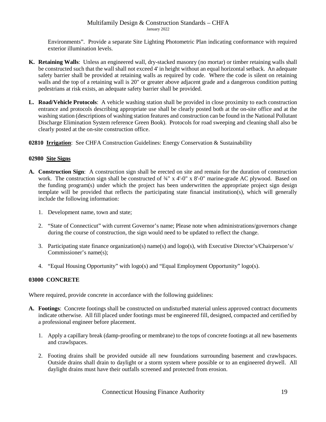Environments". Provide a separate Site Lighting Photometric Plan indicating conformance with required exterior illumination levels.

- **K. Retaining Walls**: Unless an engineered wall, dry-stacked masonry (no mortar) or timber retaining walls shall be constructed such that the wall shall not exceed 4' in height without an equal horizontal setback. An adequate safety barrier shall be provided at retaining walls as required by code. Where the code is silent on retaining walls and the top of a retaining wall is 20" or greater above adjacent grade and a dangerous condition putting pedestrians at risk exists, an adequate safety barrier shall be provided.
- **L. Road/Vehicle Protocols**:A vehicle washing station shall be provided in close proximity to each construction entrance and protocols describing appropriate use shall be clearly posted both at the on-site office and at the washing station (descriptions of washing station features and construction can be found in the National Pollutant Discharge Elimination System reference Green Book). Protocols for road sweeping and cleaning shall also be clearly posted at the on-site construction office.

**02810 Irrigation**: See CHFA Construction Guidelines: Energy Conservation & Sustainability

## **02980 Site Signs**

- **A. Construction Sign**: A construction sign shall be erected on site and remain for the duration of construction work. The construction sign shall be constructed of  $\frac{3}{4}$ " x 4'-0" x 8'-0" marine-grade AC plywood. Based on the funding program(s) under which the project has been underwritten the appropriate project sign design template will be provided that reflects the participating state financial institution(s), which will generally include the following information:
	- 1. Development name, town and state;
	- 2. "State of Connecticut" with current Governor's name; Please note when administrations/governors change during the course of construction, the sign would need to be updated to reflect the change.
	- 3. Participating state finance organization(s) name(s) and logo(s), with Executive Director's/Chairperson's/ Commissioner's name(s);
	- 4. "Equal Housing Opportunity" with logo(s) and "Equal Employment Opportunity" logo(s).

# <span id="page-18-0"></span>**03000 CONCRETE**

Where required, provide concrete in accordance with the following guidelines:

- **A. Footings**: Concrete footings shall be constructed on undisturbed material unless approved contract documents indicate otherwise. All fill placed under footings must be engineered fill, designed, compacted and certified by a professional engineer before placement.
	- 1. Apply a capillary break (damp-proofing or membrane) to the tops of concrete footings at all new basements and crawlspaces.
	- 2. Footing drains shall be provided outside all new foundations surrounding basement and crawlspaces. Outside drains shall drain to daylight or a storm system where possible or to an engineered drywell. All daylight drains must have their outfalls screened and protected from erosion.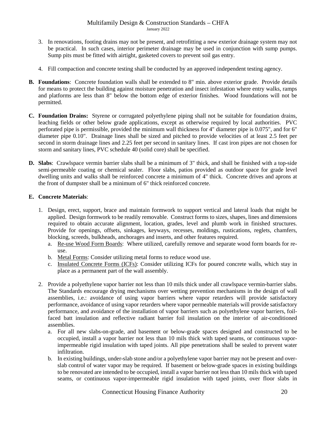- 3. In renovations, footing drains may not be present, and retrofitting a new exterior drainage system may not be practical. In such cases, interior perimeter drainage may be used in conjunction with sump pumps. Sump pits must be fitted with airtight, gasketed covers to prevent soil gas entry.
- 4. Fill compaction and concrete testing shall be conducted by an approved independent testing agency.
- **B. Foundations**: Concrete foundation walls shall be extended to 8" min. above exterior grade. Provide details for means to protect the building against moisture penetration and insect infestation where entry walks, ramps and platforms are less than 8" below the bottom edge of exterior finishes. Wood foundations will not be permitted.
- **C. Foundation Drains:** Styrene or corrugated polyethylene piping shall not be suitable for foundation drains, leaching fields or other below grade applications, except as otherwise required by local authorities. PVC perforated pipe is permissible, provided the minimum wall thickness for 4" diameter pipe is 0.075", and for 6" diameter pipe 0.10". Drainage lines shall be sized and pitched to provide velocities of at least 2.5 feet per second in storm drainage lines and 2.25 feet per second in sanitary lines. If cast iron pipes are not chosen for storm and sanitary lines, PVC schedule 40 (solid core) shall be specified.
- **D. Slabs**:Crawlspace vermin barrier slabs shall be a minimum of 3" thick, and shall be finished with a top-side semi-permeable coating or chemical sealer. Floor slabs, patios provided as outdoor space for grade level dwelling units and walks shall be reinforced concrete a minimum of 4" thick. Concrete drives and aprons at the front of dumpster shall be a minimum of 6" thick reinforced concrete.

## **E. Concrete Materials**:

- 1. Design, erect, support, brace and maintain formwork to support vertical and lateral loads that might be applied. Design formwork to be readily removable. Construct forms to sizes, shapes, lines and dimensions required to obtain accurate alignment, location, grades, level and plumb work in finished structures. Provide for openings, offsets, sinkages, keyways, recesses, moldings, rustications, reglets, chamfers, blocking, screeds, bulkheads, anchorages and inserts, and other features required.
	- a. Re-use Wood Form Boards:Where utilized, carefully remove and separate wood form boards for reuse.
	- b. Metal Forms: Consider utilizing metal forms to reduce wood use.
	- c. Insulated Concrete Forms (ICFs): Consider utilizing ICFs for poured concrete walls, which stay in place as a permanent part of the wall assembly.
- 2. Provide a polyethylene vapor barrier not less than 10 mils thick under all crawlspace vermin-barrier slabs. The Standards encourage drying mechanisms over wetting prevention mechanisms in the design of wall assemblies, i.e.: avoidance of using vapor barriers where vapor retarders will provide satisfactory performance, avoidance of using vapor retarders where vapor permeable materials will provide satisfactory performance, and avoidance of the installation of vapor barriers such as polyethylene vapor barriers, foilfaced batt insulation and reflective radiant barrier foil insulation on the interior of air-conditioned assemblies.
	- a. For all new slabs-on-grade, and basement or below-grade spaces designed and constructed to be occupied, install a vapor barrier not less than 10 mils thick with taped seams, or continuous vaporimpermeable rigid insulation with taped joints. All pipe penetrations shall be sealed to prevent water infiltration.
	- b. In existing buildings, under-slab stone and/or a polyethylene vapor barrier may not be present and overslab control of water vapor may be required. If basement or below-grade spaces in existing buildings to be renovated are intended to be occupied, install a vapor barrier not less than 10 mils thick with taped seams, or continuous vapor-impermeable rigid insulation with taped joints, over floor slabs in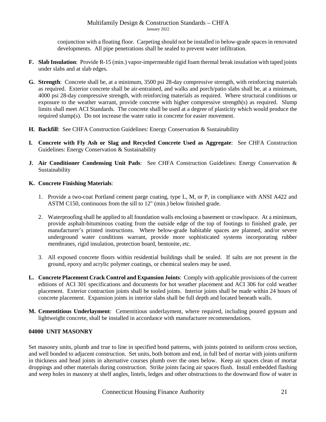conjunction with a floating floor. Carpeting should not be installed in below-grade spaces in renovated developments. All pipe penetrations shall be sealed to prevent water infiltration.

- **F. Slab Insulation**: Provide R-15 (min.) vapor-impermeable rigid foam thermal break insulation with taped joints under slabs and at slab edges.
- **G. Strength**: Concrete shall be, at a minimum, 3500 psi 28-day compressive strength, with reinforcing materials as required. Exterior concrete shall be air-entrained, and walks and porch/patio slabs shall be, at a minimum, 4000 psi 28-day compressive strength, with reinforcing materials as required. Where structural conditions or exposure to the weather warrant, provide concrete with higher compressive strength(s) as required. Slump limits shall meet ACI Standards. The concrete shall be used at a degree of plasticity which would produce the required slump(s). Do not increase the water ratio in concrete for easier movement.
- **H. Backfill**: See CHFA Construction Guidelines: Energy Conservation & Sustainability
- **I. Concrete with Fly Ash or Slag and Recycled Concrete Used as Aggregate**: See CHFA Construction Guidelines: Energy Conservation & Sustainability
- **J. Air Conditioner Condensing Unit Pads**: See CHFA Construction Guidelines: Energy Conservation & Sustainability

# **K. Concrete Finishing Materials**:

- 1. Provide a two-coat Portland cement parge coating, type L, M, or P, in compliance with ANSI A422 and ASTM C150, continuous from the sill to 12" (min.) below finished grade.
- 2. Waterproofing shall be applied to all foundation walls enclosing a basement or crawlspace. At a minimum, provide asphalt-bituminous coating from the outside edge of the top of footings to finished grade, per manufacturer's printed instructions. Where below-grade habitable spaces are planned, and/or severe underground water conditions warrant, provide more sophisticated systems incorporating rubber membranes, rigid insulation, protection board, bentonite, etc.
- 3. All exposed concrete floors within residential buildings shall be sealed. If salts are not present in the ground, epoxy and acrylic polymer coatings, or chemical sealers may be used.
- **L. Concrete Placement Crack Control and Expansion Joints**: Comply with applicable provisions of the current editions of ACI 301 specifications and documents for hot weather placement and ACI 306 for cold weather placement. Exterior contraction joints shall be tooled joints. Interior joints shall be made within 24 hours of concrete placement. Expansion joints in interior slabs shall be full depth and located beneath walls.
- **M. Cementitious Underlayment**: Cementitious underlayment, where required, including poured gypsum and lightweight concrete, shall be installed in accordance with manufacturer recommendations.

## <span id="page-20-0"></span>**04000 UNIT MASONRY**

Set masonry units, plumb and true to line in specified bond patterns, with joints pointed to uniform cross section, and well bonded to adjacent construction. Set units, both bottom and end, in full bed of mortar with joints uniform in thickness and head joints in alternative courses plumb over the ones below. Keep air spaces clean of mortar droppings and other materials during construction. Strike joints facing air spaces flush. Install embedded flashing and weep holes in masonry at shelf angles, lintels, ledges and other obstructions to the downward flow of water in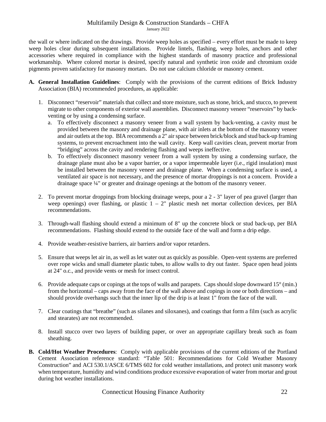the wall or where indicated on the drawings. Provide weep holes as specified – every effort must be made to keep weep holes clear during subsequent installations. Provide lintels, flashing, weep holes, anchors and other accessories where required in compliance with the highest standards of masonry practice and professional workmanship. Where colored mortar is desired, specify natural and synthetic iron oxide and chromium oxide pigments proven satisfactory for masonry mortars. Do not use calcium chloride or masonry cement.

- **A. General Installation Guidelines**: Comply with the provisions of the current editions of Brick Industry Association (BIA) recommended procedures, as applicable:
	- 1. Disconnect "reservoir" materials that collect and store moisture, such as stone, brick, and stucco, to prevent migrate to other components of exterior wall assemblies. Disconnect masonry veneer "reservoirs" by backventing or by using a condensing surface.
		- a. To effectively disconnect a masonry veneer from a wall system by back-venting, a cavity must be provided between the masonry and drainage plane, with air inlets at the bottom of the masonry veneer and air outlets at the top. BIA recommends a 2" air space between brick/block and stud back-up framing systems, to prevent encroachment into the wall cavity. Keep wall cavities clean, prevent mortar from "bridging" across the cavity and rendering flashing and weeps ineffective.
		- b. To effectively disconnect masonry veneer from a wall system by using a condensing surface, the drainage plane must also be a vapor barrier, or a vapor impermeable layer (i.e., rigid insulation) must be installed between the masonry veneer and drainage plane. When a condensing surface is used, a ventilated air space is not necessary, and the presence of mortar droppings is not a concern. Provide a drainage space ¼" or greater and drainage openings at the bottom of the masonry veneer.
	- 2. To prevent mortar droppings from blocking drainage weeps, pour a 2 3" layer of pea gravel (larger than weep openings) over flashing, or plastic  $1 - 2$ " plastic mesh net mortar collection devices, per BIA recommendations.
	- 3. Through-wall flashing should extend a minimum of 8" up the concrete block or stud back-up, per BIA recommendations. Flashing should extend to the outside face of the wall and form a drip edge.
	- 4. Provide weather-resistive barriers, air barriers and/or vapor retarders.
	- 5. Ensure that weeps let air in, as well as let water out as quickly as possible. Open-vent systems are preferred over rope wicks and small diameter plastic tubes, to allow walls to dry out faster. Space open head joints at 24" o.c., and provide vents or mesh for insect control.
	- 6. Provide adequate caps or copings at the tops of walls and parapets. Caps should slope downward 15° (min.) from the horizontal – caps away from the face of the wall above and copings in one or both directions – and should provide overhangs such that the inner lip of the drip is at least 1" from the face of the wall.
	- 7. Clear coatings that "breathe" (such as silanes and siloxanes), and coatings that form a film (such as acrylic and stearates) are not recommended.
	- 8. Install stucco over two layers of building paper, or over an appropriate capillary break such as foam sheathing.
- **B. Cold/Hot Weather Procedures**: Comply with applicable provisions of the current editions of the Portland Cement Association reference standard: "Table 501: Recommendations for Cold Weather Masonry Construction" and ACI 530.1/ASCE 6/TMS 602 for cold weather installations, and protect unit masonry work when temperature, humidity and wind conditions produce excessive evaporation of water from mortar and grout during hot weather installations.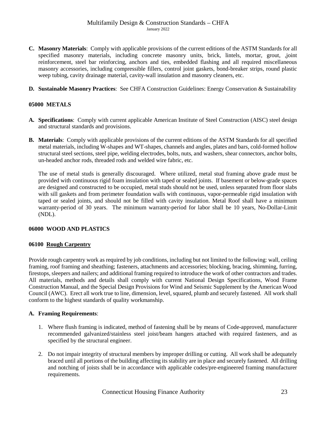- **C. Masonry Materials**: Comply with applicable provisions of the current editions of the ASTM Standards for all specified masonry materials, including concrete masonry units, brick, lintels, mortar, grout, ,joint reinforcement, steel bar reinforcing, anchors and ties, embedded flashing and all required miscellaneous masonry accessories, including compressible fillers, control joint gaskets, bond-breaker strips, round plastic weep tubing, cavity drainage material, cavity-wall insulation and masonry cleaners, etc.
- **D. Sustainable Masonry Practices**: See CHFA Construction Guidelines: Energy Conservation & Sustainability

# <span id="page-22-0"></span>**05000 METALS**

- **A. Specifications**: Comply with current applicable American Institute of Steel Construction (AISC) steel design and structural standards and provisions.
- **B. Materials**:Comply with applicable provisions of the current editions of the ASTM Standards for all specified metal materials, including W-shapes and WT-shapes, channels and angles, plates and bars, cold-formed hollow structural steel sections, steel pipe, welding electrodes, bolts, nuts, and washers, shear connectors, anchor bolts, un-headed anchor rods, threaded rods and welded wire fabric, etc.

The use of metal studs is generally discouraged. Where utilized, metal stud framing above grade must be provided with continuous rigid foam insulation with taped or sealed joints. If basement or below-grade spaces are designed and constructed to be occupied, metal studs should not be used, unless separated from floor slabs with sill gaskets and from perimeter foundation walls with continuous, vapor-permeable rigid insulation with taped or sealed joints, and should not be filled with cavity insulation. Metal Roof shall have a minimum warranty-period of 30 years. The minimum warranty-period for labor shall be 10 years, No-Dollar-Limit (NDL).

## <span id="page-22-1"></span>**06000 WOOD AND PLASTICS**

## **06100 Rough Carpentry**

Provide rough carpentry work as required by job conditions, including but not limited to the following: wall, ceiling framing, roof framing and sheathing; fasteners, attachments and accessories; blocking, bracing, shimming, furring, firestops, sleepers and nailers; and additional framing required to introduce the work of other contractors and trades. All materials, methods and details shall comply with current National Design Specifications, Wood Frame Construction Manual, and the Special Design Provisions for Wind and Seismic Supplement by the American Wood Council (AWC). Erect all work true to line, dimension, level, squared, plumb and securely fastened. All work shall conform to the highest standards of quality workmanship.

## **A. Framing Requirements**:

- 1. Where flush framing is indicated, method of fastening shall be by means of Code-approved, manufacturer recommended galvanized/stainless steel joist/beam hangers attached with required fasteners, and as specified by the structural engineer.
- 2. Do not impair integrity of structural members by improper drilling or cutting. All work shall be adequately braced until all portions of the building affecting its stability are in place and securely fastened. All drilling and notching of joists shall be in accordance with applicable codes/pre-engineered framing manufacturer requirements.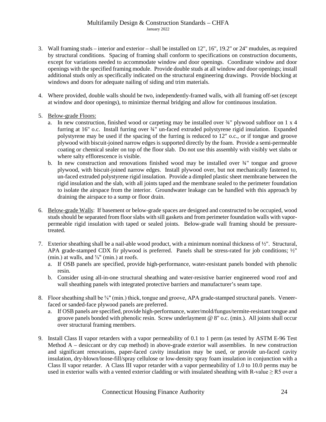- 3. Wall framing studs interior and exterior shall be installed on 12", 16", 19.2" or 24" mudules, as required by structural conditions. Spacing of framing shall conform to specifications on construction documents, except for variations needed to accommodate window and door openings. Coordinate window and door openings with the specified framing module. Provide double studs at all window and door openings; install additional studs only as specifically indicated on the structural engineering drawings. Provide blocking at windows and doors for adequate nailing of siding and trim materials.
- 4. Where provided, double walls should be two, independently-framed walls, with all framing off-set (except at window and door openings), to minimize thermal bridging and allow for continuous insulation.
- 5. Below-grade Floors:
	- a. In new construction, finished wood or carpeting may be installed over  $\frac{3}{4}$ " plywood subfloor on 1 x 4 furring at 16" o.c. Install furring over ¾" un-faced extruded polystyrene rigid insulation. Expanded polystyrene may be used if the spacing of the furring is reduced to 12" o.c., or if tongue and groove plywood with biscuit-joined narrow edges is supported directly by the foam. Provide a semi-permeable coating or chemical sealer on top of the floor slab. Do not use this assembly with visibly wet slabs or where salty efflorescence is visible.
	- b. In new construction and renovations finished wood may be installed over ¾" tongue and groove plywood, with biscuit-joined narrow edges. Install plywood over, but not mechanically fastened to, un-faced extruded polystyrene rigid insulation. Provide a dimpled plastic sheet membrane between the rigid insulation and the slab, with all joints taped and the membrane sealed to the perimeter foundation to isolate the airspace from the interior. Groundwater leakage can be handled with this approach by draining the airspace to a sump or floor drain.
- 6. Below-grade Walls: If basement or below-grade spaces are designed and constructed to be occupied, wood studs should be separated from floor slabs with sill gaskets and from perimeter foundation walls with vaporpermeable rigid insulation with taped or sealed joints. Below-grade wall framing should be pressuretreated.
- 7. Exterior sheathing shall be a nail-able wood product, with a minimum nominal thickness of ½". Structural, APA grade-stamped CDX fir plywood is preferred. Panels shall be stress-rated for job conditions; ½" (min.) at walls, and  $\frac{5}{8}$ " (min.) at roofs.
	- a. If OSB panels are specified, provide high-performance, water-resistant panels bonded with phenolic resin.
	- b. Consider using all-in-one structural sheathing and water-resistive barrier engineered wood roof and wall sheathing panels with integrated protective barriers and manufacturer's seam tape.
- 8. Floor sheathing shall be ⅝" (min.) thick, tongue and groove, APA grade-stamped structural panels. Veneerfaced or sanded-face plywood panels are preferred.
	- a. If OSB panels are specified, provide high-performance, water/mold/fungus/termite-resistant tongue and groove panels bonded with phenolic resin. Screw underlayment @ 8" o.c. (min.). All joints shall occur over structural framing members.
- 9. Install Class II vapor retarders with a vapor permeability of 0.1 to 1 perm (as tested by ASTM E-96 Test Method A – desiccant or dry cup method) in above-grade exterior wall assemblies. In new construction and significant renovations, paper-faced cavity insulation may be used, or provide un-faced cavity insulation, dry-blown/loose-fill/spray cellulose or low-density spray foam insulation in conjunction with a Class II vapor retarder. A Class III vapor retarder with a vapor permeability of 1.0 to 10.0 perms may be used in exterior walls with a vented exterior cladding or with insulated sheathing with R-value  $\geq$  R5 over a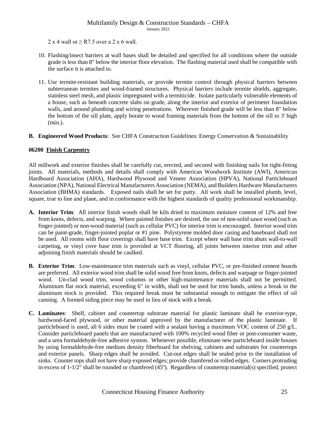2 x 4 wall or  $\geq$  R7.5 over a 2 x 6 wall.

- 10. Flashing/insect barriers at wall bases shall be detailed and specified for all conditions where the outside grade is less than 8" below the interior floor elevation. The flashing material used shall be compatible with the surface it is attached to.
- 11. Use termite-resistant building materials, or provide termite control through physical barriers between subterranean termites and wood-framed structures. Physical barriers include termite shields, aggregate, stainless steel mesh, and plastic impregnated with a termiticide. Isolate particularly vulnerable elements of a house, such as beneath concrete slabs on grade, along the interior and exterior of perimeter foundation walls, and around plumbing and wiring penetrations. Wherever finished grade will be less than 8" below the bottom of the sill plate, apply borate to wood framing materials from the bottom of the sill to 3' high (min.).
- **B. Engineered Wood Products**: See CHFA Construction Guidelines: Energy Conservation & Sustainability

## **06200 Finish Carpentry**

All millwork and exterior finishes shall be carefully cut, erected, and secured with finishing nails for tight-fitting joints. All materials, methods and details shall comply with American Woodwork Institute (AWI), American Hardboard Association (AHA), Hardwood Plywood and Veneer Association (HPVA), National Particleboard Association (NPA), National Electrical Manufacturers Association (NEMA), and Builders Hardware Manufacturers Association (BHMA) standards. Exposed nails shall be set for putty. All work shall be installed plumb, level, square, true to line and plane, and in conformance with the highest standards of quality professional workmanship.

- **A. Interior Trim**: All interior finish woods shall be kiln dried to maximum moisture content of 12% and free from knots, defects, and warping. Where painted finishes are desired, the use of non-solid sawn wood (such as finger-jointed) or non-wood material (such as cellular PVC) for interior trim is encouraged. Interior wood trim can be paint-grade, finger-jointed poplar or #1 pine. Polystyrene molded door casing and baseboard shall not be used. All rooms with floor coverings shall have base trim. Except where wall base trim abuts wall-to-wall carpeting, or vinyl cove base trim is provided at VCT flooring, all joints between interior trim and other adjoining finish materials should be caulked.
- **B. Exterior Trim**: Low-maintenance trim materials such as vinyl, cellular PVC, or pre-finished cement boards are preferred. All exterior wood trim shall be solid wood free from knots, defects and warpage or finger-jointed wood. Un-clad wood trim, wood columns or other high-maintenance materials shall not be permitted. Aluminum flat stock material, exceeding 6" in width, shall not be used for trim bands, unless a break in the aluminum stock is provided. This required break must be substantial enough to mitigate the effect of oil canning. A formed siding piece may be used in lieu of stock with a break.
- **C. Laminates**: Shelf, cabinet and countertop substrate material for plastic laminate shall be exterior-type, hardwood-faced plywood, or other material approved by the manufacturer of the plastic laminate. If particleboard is used, all 6 sides must be coated with a sealant having a maximum VOC content of 250 g/L. Consider particleboard panels that are manufactured with 100% recycled wood fiber or post-consumer waste, and a urea formaldehyde-free adhesive system. Whenever possible, eliminate new particleboard inside houses by using formaldehyde-free medium density fiberboard for shelving, cabinets and substrates for countertops and exterior panels. Sharp edges shall be avoided. Cut-out edges shall be sealed prior to the installation of sinks. Counter tops shall not have sharp exposed edges; provide chamfered or rolled edges. Corners protruding in excess of 1-1/2" shall be rounded or chamfered (45º). Regardless of countertop material(s) specified, protect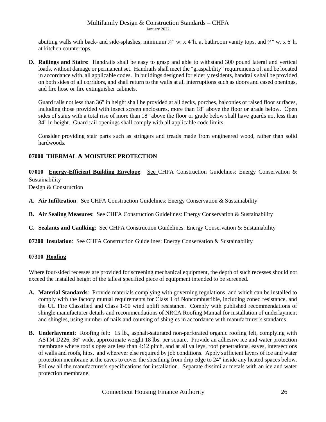abutting walls with back- and side-splashes; minimum  $\frac{3}{4}$ " w. x 4"h. at bathroom vanity tops, and  $\frac{3}{4}$ " w. x 6"h. at kitchen countertops.

**D. Railings and Stairs**: Handrails shall be easy to grasp and able to withstand 300 pound lateral and vertical loads, without damage or permanent set. Handrails shall meet the "graspability" requirements of, and be located in accordance with, all applicable codes. In buildings designed for elderly residents, handrails shall be provided on both sides of all corridors, and shall return to the walls at all interruptions such as doors and cased openings, and fire hose or fire extinguisher cabinets.

Guard rails not less than 36" in height shall be provided at all decks, porches, balconies or raised floor surfaces, including those provided with insect screen enclosures, more than 18" above the floor or grade below. Open sides of stairs with a total rise of more than 18" above the floor or grade below shall have guards not less than 34" in height. Guard rail openings shall comply with all applicable code limits.

Consider providing stair parts such as stringers and treads made from engineered wood, rather than solid hardwoods.

# <span id="page-25-0"></span>**07000 THERMAL & MOISTURE PROTECTION**

**07010 Energy-Efficient Building Envelope**: See CHFA Construction Guidelines: Energy Conservation & Sustainability

Design & Construction

- **A. Air Infiltration**:See CHFA Construction Guidelines: Energy Conservation & Sustainability
- **B. Air Sealing Measures**:See CHFA Construction Guidelines: Energy Conservation & Sustainability
- **C. Sealants and Caulking**:See CHFA Construction Guidelines: Energy Conservation & Sustainability
- **07200 Insulation**: See CHFA Construction Guidelines: Energy Conservation & Sustainability

## **07310 Roofing**

Where four-sided recesses are provided for screening mechanical equipment, the depth of such recesses should not exceed the installed height of the tallest specified piece of equipment intended to be screened.

- **A. Material Standards**:Provide materials complying with governing regulations, and which can be installed to comply with the factory mutual requirements for Class 1 of Noncombustible, including zoned resistance, and the UL Fire Classified and Class 1-90 wind uplift resistance. Comply with published recommendations of shingle manufacturer details and recommendations of NRCA Roofing Manual for installation of underlayment and shingles, using number of nails and coursing of shingles in accordance with manufacturer's standards.
- **B. Underlayment**: Roofing felt: 15 lb., asphalt-saturated non-perforated organic roofing felt, complying with ASTM D226, 36" wide, approximate weight 18 lbs. per square. Provide an adhesive ice and water protection membrane where roof slopes are less than 4:12 pitch, and at all valleys, roof penetrations, eaves, intersections of walls and roofs, hips, and wherever else required by job conditions. Apply sufficient layers of ice and water protection membrane at the eaves to cover the sheathing from drip edge to 24" inside any heated spaces below. Follow all the manufacturer's specifications for installation. Separate dissimilar metals with an ice and water protection membrane.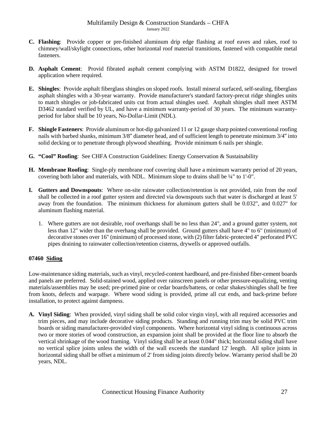- **C. Flashing**: Provide copper or pre-finished aluminum drip edge flashing at roof eaves and rakes, roof to chimney/wall/skylight connections, other horizontal roof material transitions, fastened with compatible metal fasteners.
- **D. Asphalt Cement**: Provid fibrated asphalt cement complying with ASTM D1822, designed for trowel application where required.
- **E. Shingles**: Provide asphalt fiberglass shingles on sloped roofs. Install mineral surfaced, self-sealing, fiberglass asphalt shingles with a 30-year warranty. Provide manufacturer's standard factory-precut ridge shingles units to match shingles or job-fabricated units cut from actual shingles used. Asphalt shingles shall meet ASTM D3462 standard verified by UL, and have a minimum warranty-period of 30 years. The minimum warrantyperiod for labor shall be 10 years, No-Dollar-Limit (NDL).
- **F. Shingle Fasteners**: Provide aluminum or hot-dip galvanized 11 or 12 gauge sharp pointed conventional roofing nails with barbed shanks, minimum 3/8" diameter head, and of sufficient length to penetrate minimum 3/4" into solid decking or to penetrate through plywood sheathing. Provide minimum 6 nails per shingle.
- **G. "Cool" Roofing**: See CHFA Construction Guidelines: Energy Conservation & Sustainability
- **H. Membrane Roofing**:Single-ply membrane roof covering shall have a minimum warranty period of 20 years, covering both labor and materials, with NDL. Minimum slope to drains shall be  $\frac{1}{4}$ " to 1'-0".
- **I. Gutters and Downspouts**:Where on-site rainwater collection/retention is not provided, rain from the roof shall be collected in a roof gutter system and directed via downspouts such that water is discharged at least 5' away from the foundation.The minimum thickness for aluminum gutters shall be 0.032", and 0.027" for aluminum flashing material.
	- 1. Where gutters are not desirable, roof overhangs shall be no less than 24", and a ground gutter system, not less than 12" wider than the overhang shall be provided. Ground gutters shall have 4" to 6" (minimum) of decorative stones over 16" (minimum) of processed stone, with (2) filter fabric-protected 4" perforated PVC pipes draining to rainwater collection/retention cisterns, drywells or approved outfalls.

# **07460 Siding**

Low-maintenance siding materials, such as vinyl, recycled-content hardboard, and pre-finished fiber-cement boards and panels are preferred. Solid-stained wood, applied over rainscreen panels or other pressure-equalizing, venting materials/assemblies may be used; pre-primed pine or cedar boards/battens, or cedar shakes/shingles shall be free from knots, defects and warpage. Where wood siding is provided, prime all cut ends, and back-prime before installation, to protect against dampness.

**A. Vinyl Siding**: When provided, vinyl siding shall be solid color virgin vinyl, with all required accessories and trim pieces, and may include decorative siding products. Standing and running trim may be solid PVC trim boards or siding manufacturer-provided vinyl components. Where horizontal vinyl siding is continuous across two or more stories of wood construction, an expansion joint shall be provided at the floor line to absorb the vertical shrinkage of the wood framing. Vinyl siding shall be at least 0.044" thick; horizontal siding shall have no vertical splice joints unless the width of the wall exceeds the standard 12' length. All splice joints in horizontal siding shall be offset a minimum of 2' from siding joints directly below. Warranty period shall be 20 years, NDL.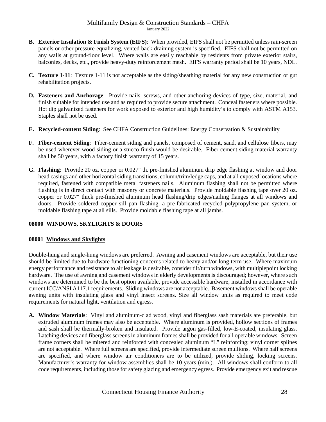- **B. Exterior Insulation & Finish System (EIFS)**: When provided, EIFS shall not be permitted unless rain-screen panels or other pressure-equalizing, vented back-draining system is specified. EIFS shall not be permitted on any walls at ground-floor level. Where walls are easily reachable by residents from private exterior stairs, balconies, decks, etc., provide heavy-duty reinforcement mesh. EIFS warranty period shall be 10 years, NDL.
- **C. Texture 1-11**:Texture 1-11 is not acceptable as the siding/sheathing material for any new construction or gut rehabilitation projects.
- **D. Fasteners and Anchorage**: Provide nails, screws, and other anchoring devices of type, size, material, and finish suitable for intended use and as required to provide secure attachment. Conceal fasteners where possible. Hot dip galvanized fasteners for work exposed to exterior and high humidity's to comply with ASTM A153. Staples shall not be used.
- **E. Recycled-content Siding**: See CHFA Construction Guidelines: Energy Conservation & Sustainability
- **F. Fiber-cement Siding**: Fiber-cement siding and panels, composed of cement, sand, and cellulose fibers, may be used wherever wood siding or a stucco finish would be desirable. Fiber-cement siding material warranty shall be 50 years, with a factory finish warranty of 15 years.
- **G. Flashing**: Provide 20 oz. copper or 0.027" th. pre-finished aluminum drip edge flashing at window and door head casings and other horizontal siding transitions, column/trim/ledge caps, and at all exposed locations where required, fastened with compatible metal fasteners nails. Aluminum flashing shall not be permitted where flashing is in direct contact with masonry or concrete materials. Provide moldable flashing tape over 20 oz. copper or 0.027" thick pre-finished aluminum head flashing/drip edges/nailing flanges at all windows and doors. Provide soldered copper sill pan flashing, a pre-fabricated recycled polypropylene pan system, or moldable flashing tape at all sills. Provide moldable flashing tape at all jambs.

# <span id="page-27-0"></span>**08000 WINDOWS, SKYLIGHTS & DOORS**

## **08001 Windows and Skylights**

Double-hung and single-hung windows are preferred. Awning and casement windows are acceptable, but their use should be limited due to hardware functioning concerns related to heavy and/or long-term use. Where maximum energy performance and resistance to air leakage is desirable, consider tilt/turn windows, with multiplepoint locking hardware. The use of awning and casement windows in elderly developments is discouraged; however, where such windows are determined to be the best option available, provide accessible hardware, installed in accordance with current ICC/ANSI A117.1 requirements. Sliding windows are not acceptable. Basement windows shall be operable awning units with insulating glass and vinyl insect screens. Size all window units as required to meet code requirements for natural light, ventilation and egress.

**A. Window Materials**: Vinyl and aluminum-clad wood, vinyl and fiberglass sash materials are preferable, but extruded aluminum frames may also be acceptable. Where aluminum is provided, hollow sections of frames and sash shall be thermally-broken and insulated. Provide argon gas-filled, low-E-coated, insulating glass. Latching devices and fiberglass screens in aluminum frames shall be provided for all operable windows. Screen frame corners shall be mitered and reinforced with concealed aluminum "L" reinforcing; vinyl corner splines are not acceptable. Where full screens are specified, provide intermediate screen mullions. Where half screens are specified, and where window air conditioners are to be utilized, provide sliding, locking screens. Manufacturer's warranty for window assemblies shall be 10 years (min.). All windows shall conform to all code requirements, including those for safety glazing and emergency egress. Provide emergency exit and rescue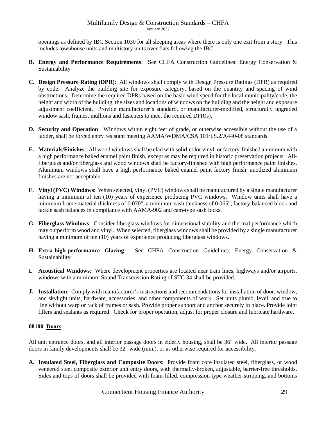openings as defined by IBC Section 1030 for all sleeping areas where there is only one exit from a story. This includes townhouse units and multistory units over flats following the IBC.

- **B. Energy and Performance Requirements**: See CHFA Construction Guidelines: Energy Conservation & Sustainability
- **C. Design Pressure Rating (DPR)**: All windows shall comply with Design Pressure Ratings (DPR) as required by code. Analyze the building site for exposure category, based on the quantity and spacing of wind obstructions. Determine the required DPRs based on the basic wind speed for the local municipality/code, the height and width of the building, the sizes and locations of windows on the building and the height and exposure adjustment coefficient. Provide manufacturer's standard, or manufacturer-modified, structurally upgraded window sash, frames, mullions and fasteners to meet the required DPR(s).
- **D. Security and Operation**: Windows within eight feet of grade, or otherwise accessible without the use of a ladder, shall be forced entry resistant meeting AAMA/WDMA/CSA 101/I.S.2/A440-08 standards.
- **E. Materials/Finishes**: All wood windows shall be clad with solid-color vinyl, or factory-finished aluminum with a high performance baked enamel paint finish, except as may be required in historic preservation projects. Allfiberglass and/or fiberglass and wood windows shall be factory-finished with high performance paint finishes. Aluminum windows shall have a high performance baked enamel paint factory finish; anodized aluminum finishes are not acceptable.
- **F. Vinyl (PVC) Windows**: When selected, vinyl (PVC) windows shall be manufactured by a single manufacturer having a minimum of ten (10) years of experience producing PVC windows. Window units shall have a minimum frame material thickness of 0.070", a minimum sash thickness of 0.065", factory-balanced block and tackle sash balances in compliance with AAMA-902 and cam-type sash locks.
- **G. Fiberglass Windows**: Consider fiberglass windows for dimensional stability and thermal performance which may outperform wood and vinyl. When selected, fiberglass windows shall be provided by a single manufacturer having a minimum of ten (10) years of experience producing fiberglass windows.
- **H. Extra-high-performance Glazing**: See CHFA Construction Guidelines: Energy Conservation & Sustainability
- **I. Acoustical Windows**: Where development properties are located near train lines, highways and/or airports, windows with a minimum Sound Transmission Rating of STC 34 shall be provided.
- **J. Installation**: Comply with manufacturer's instructions and recommendations for installation of door, window, and skylight units, hardware, accessories, and other components of work. Set units plumb, level, and true to line without warp or rack of frames or sash. Provide proper support and anchor securely in place. Provide joint fillers and sealants as required. Check for proper operation, adjust for proper closure and lubricate hardware.

# **08100 Doors**

All unit entrance doors, and all interior passage doors in elderly housing, shall be 36" wide. All interior passage doors in family developments shall be 32" wide (min.), or as otherwise required for accessibility.

**A. Insulated Steel, Fiberglass and Composite Doors**: Provide foam core insulated steel, fiberglass, or wood veneered steel composite exterior unit entry doors, with thermally-broken, adjustable, barrier-free thresholds. Sides and tops of doors shall be provided with foam-filled, compression-type weather-stripping, and bottoms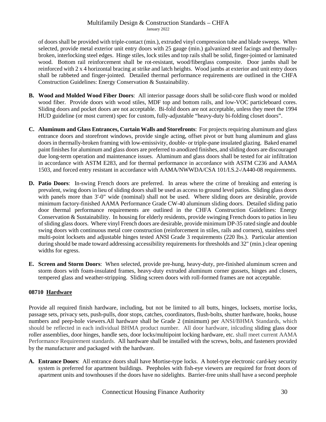of doors shall be provided with triple-contact (min.), extruded vinyl compression tube and blade sweeps. When selected, provide metal exterior unit entry doors with 25 gauge (min.) galvanized steel facings and thermallybroken, interlocking steel edges. Hinge stiles, lock stiles and top rails shall be solid, finger-jointed or laminated wood. Bottom rail reinforcement shall be rot-resistant, wood/fiberglass composite. Door jambs shall be reinforced with 2 x 4 horizontal bracing at strike and latch heights. Wood jambs at exterior and unit entry doors shall be rabbeted and finger-jointed. Detailed thermal performance requirements are outlined in the CHFA Construction Guidelines: Energy Conservation & Sustainability.

- **B. Wood and Molded Wood Fiber Doors**: All interior passage doors shall be solid-core flush wood or molded wood fiber. Provide doors with wood stiles, MDF top and bottom rails, and low-VOC particleboard cores. Sliding doors and pocket doors are not acceptable. Bi-fold doors are not acceptable, unless they meet the 1994 HUD guideline (or most current) spec for custom, fully-adjustable "heavy-duty bi-folding closet doors".
- **C. Aluminum and Glass Entrances, Curtain Walls and Storefronts**:For projects requiring aluminum and glass entrance doors and storefront windows, provide single acting, offset pivot or butt hung aluminum and glass doors in thermally-broken framing with low-emissivity, double- or triple-pane insulated glazing. Baked enamel paint finishes for aluminum and glass doors are preferred to anodized finishes, and sliding doors are discouraged due long-term operation and maintenance issues. Aluminum and glass doors shall be tested for air infiltration in accordance with ASTM E283, and for thermal performance in accordance with ASTM C236 and AAMA 1503, and forced entry resistant in accordance with AAMA/NWWDA/CSA 101/I.S.2-/A440-08 requirements.
- **D. Patio Doors**: In-swing French doors are preferred. In areas where the crime of breaking and entering is prevalent, swing doors in lieu of sliding doors shall be used as access to ground level patios. Sliding glass doors with panels more than 3'-0" wide (nominal) shall not be used. Where sliding doors are desirable, provide minimum factory-finished AAMA Performance Grade CW-40 aluminum sliding doors. Detailed sliding patio door thermal performance requirements are outlined in the CHFA Construction Guidelines: Energy Conservation & Sustainability. In housing for elderly residents, provide swinging French doors to patios in lieu of sliding glass doors. Where vinyl French doors are desirable, provide minimum DP-35 rated single and double swing doors with continuous metal core construction (reinforcement in stiles, rails and corners), stainless steel multi-point locksets and adjustable hinges tested ANSI Grade 3 requirements (220 lbs.). Particular attention during should be made toward addressing accessibility requirements for thresholds and 32" (min.) clear opening widths for egress.
- **E. Screen and Storm Doors**: When selected, provide pre-hung, heavy-duty, pre-finished aluminum screen and storm doors with foam-insulated frames, heavy-duty extruded aluminum corner gussets, hinges and closers, tempered glass and weather-stripping. Sliding screen doors with roll-formed frames are not acceptable.

# **08710 Hardware**

Provide all required finish hardware, including, but not be limited to all butts, hinges, locksets, mortise locks, passage sets, privacy sets, push-pulls, door stops, catches, coordinators, flush-bolts, shutter hardware, hooks, house numbers and peep-hole viewers.All hardware shall be Grade 2 (minimum) per ANSI/BHMA Standards, which should be reflected in each individual BHMA product number. All door hardware, inlcuding sliding glass door roller assemblies, door hinges, handle sets, door locks/multipoint locking hardware, etc. shall meet current AAMA Performance Requirement standards. All hardware shall be installed with the screws, bolts, and fasteners provided by the manufacturer and packaged with the hardware.

**A. Entrance Doors**: All entrance doors shall have Mortise-type locks. A hotel-type electronic card-key security system is preferred for apartment buildings. Peepholes with fish-eye viewers are required for front doors of apartment units and townhouses if the doors have no sidelights. Barrier-free units shall have a second peephole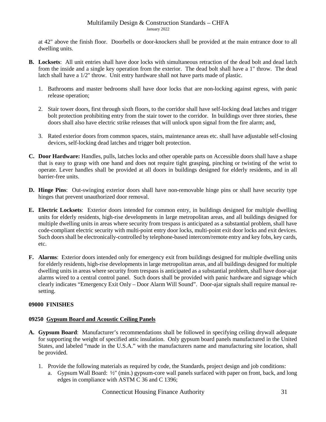at 42" above the finish floor. Doorbells or door-knockers shall be provided at the main entrance door to all dwelling units.

- **B. Locksets**:All unit entries shall have door locks with simultaneous retraction of the dead bolt and dead latch from the inside and a single key operation from the exterior. The dead bolt shall have a 1" throw. The dead latch shall have a 1/2" throw. Unit entry hardware shall not have parts made of plastic.
	- 1. Bathrooms and master bedrooms shall have door locks that are non-locking against egress, with panic release operation;
	- 2. Stair tower doors, first through sixth floors, to the corridor shall have self-locking dead latches and trigger bolt protection prohibiting entry from the stair tower to the corridor. In buildings over three stories, these doors shall also have electric strike releases that will unlock upon signal from the fire alarm; and,
	- 3. Rated exterior doors from common spaces, stairs, maintenance areas etc. shall have adjustable self-closing devices, self-locking dead latches and trigger bolt protection.
- **C. Door Hardware:** Handles, pulls, latches locks and other operable parts on Accessible doors shall have a shape that is easy to grasp with one hand and does not require tight grasping, pinching or twisting of the wrist to operate. Lever handles shall be provided at all doors in buildings designed for elderly residents, and in all barrier-free units.
- **D. Hinge Pins**: Out-swinging exterior doors shall have non-removable hinge pins or shall have security type hinges that prevent unauthorized door removal.
- **E. Electric Locksets**: Exterior doors intended for common entry, in buildings designed for multiple dwelling units for elderly residents, high-rise developments in large metropolitan areas, and all buildings designed for multiple dwelling units in areas where security from trespass is anticipated as a substantial problem, shall have code-compliant electric security with multi-point entry door locks, multi-point exit door locks and exit devices. Such doors shall be electronically-controlled by telephone-based intercom/remote entry and key fobs, key cards, etc.
- **F. Alarms**:Exterior doors intended only for emergency exit from buildings designed for multiple dwelling units for elderly residents, high-rise developments in large metropolitan areas, and all buildings designed for multiple dwelling units in areas where security from trespass is anticipated as a substantial problem, shall have door-ajar alarms wired to a central control panel. Such doors shall be provided with panic hardware and signage which clearly indicates "Emergency Exit Only – Door Alarm Will Sound". Door-ajar signals shall require manual resetting.

# <span id="page-30-0"></span>**09000 FINISHES**

# **09250 Gypsum Board and Acoustic Ceiling Panels**

- **A. Gypsum Board**: Manufacturer's recommendations shall be followed in specifying ceiling drywall adequate for supporting the weight of specified attic insulation. Only gypsum board panels manufactured in the United States, and labeled "made in the U.S.A." with the manufacturers name and manufacturing site location, shall be provided.
	- 1. Provide the following materials as required by code, the Standards, project design and job conditions:
		- a. Gypsum Wall Board: ½" (min.) gypsum-core wall panels surfaced with paper on front, back, and long edges in compliance with ASTM C 36 and C 1396;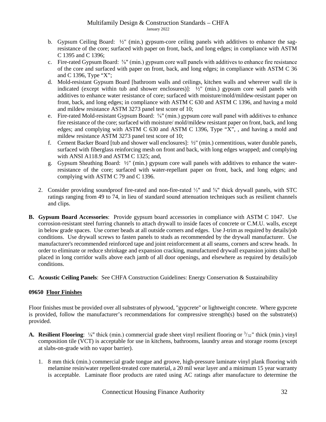- b. Gypsum Ceiling Board:  $\frac{1}{2}$ " (min.) gypsum-core ceiling panels with additives to enhance the sagresistance of the core; surfaced with paper on front, back, and long edges; in compliance with ASTM C 1395 and C 1396;
- c. Fire-rated Gypsum Board: ⅝" (min.) gypsum core wall panels with additives to enhance fire resistance of the core and surfaced with paper on front, back, and long edges; in compliance with ASTM C 36 and C 1396, Type "X";
- d. Mold-resistant Gypsum Board [bathroom walls and ceilings, kitchen walls and wherever wall tile is indicated (except within tub and shower enclosures)]:  $\frac{1}{2}$  (min.) gypsum core wall panels with additives to enhance water resistance of core; surfaced with moisture/mold/mildew-resistant paper on front, back, and long edges; in compliance with ASTM C 630 and ASTM C 1396, and having a mold and mildew resistance ASTM 3273 panel test score of 10;
- e. Fire-rated Mold-resistant Gypsum Board: ⅝" (min.) gypsum core wall panel with additives to enhance fire resistance of the core; surfaced with moisture/ mold/mildew resistant paper on front, back, and long edges; and complying with ASTM C 630 and ASTM C 1396, Type "X", , and having a mold and mildew resistance ASTM 3273 panel test score of 10;
- f. Cement Backer Board [tub and shower wall enclosures]: ½" (min.) cementitious, water durable panels, surfaced with fiberglass reinforcing mesh on front and back, with long edges wrapped; and complying with ANSI A118.9 and ASTM C 1325; and,
- g. Gypsum Sheathing Board: ½" (min.) gypsum core wall panels with additives to enhance the waterresistance of the core; surfaced with water-repellant paper on front, back, and long edges; and complying with ASTM C 79 and C 1396.
- 2. Consider providing soundproof fire-rated and non-fire-rated ½" and ⅝" thick drywall panels, with STC ratings ranging from 49 to 74, in lieu of standard sound attenuation techniques such as resilient channels and clips.
- **B. Gypsum Board Accessories**: Provide gypsum board accessories in compliance with ASTM C 1047. Use corrosion-resistant steel furring channels to attach drywall to inside faces of concrete or C.M.U. walls, except in below grade spaces. Use corner beads at all outside corners and edges. Use J-trim as required by details/job conditions. Use drywall screws to fasten panels to studs as recommended by the drywall manufacturer. Use manufacturer's recommended reinforced tape and joint reinforcement at all seams, corners and screw heads. In order to eliminate or reduce shrinkage and expansion cracking, manufactured drywall expansion joints shall be placed in long corridor walls above each jamb of all door openings, and elsewhere as required by details/job conditions.
- **C. Acoustic Ceiling Panels**: See CHFA Construction Guidelines: Energy Conservation & Sustainability

# **09650 Floor Finishes**

Floor finishes must be provided over all substrates of plywood, "gypcrete" or lightweight concrete. Where gypcrete is provided, follow the manufacturer's recommendations for compressive strength(s) based on the substrate(s) provided.

- A. Resilient Flooring: <sup>1</sup>/<sub>8</sub>" thick (min.) commercial grade sheet vinyl resilient flooring or  $\frac{3}{32}$ " thick (min.) vinyl composition tile (VCT) is acceptable for use in kitchens, bathrooms, laundry areas and storage rooms (except at slabs-on-grade with no vapor barrier).
	- 1. 8 mm thick (min.) commercial grade tongue and groove, high-pressure laminate vinyl plank flooring with melamine resin/water repellent-treated core material, a 20 mil wear layer and a minimum 15 year warranty is acceptable. Laminate floor products are rated using AC ratings after manufacture to determine the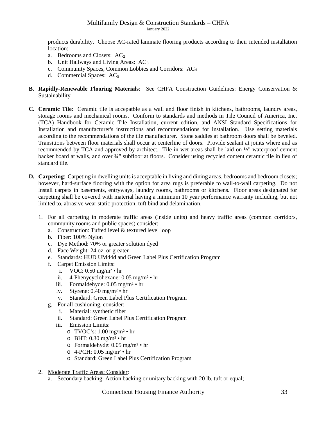products durability. Choose AC-rated laminate flooring products according to their intended installation location:

- a. Bedrooms and Closets:  $AC<sub>2</sub>$
- b. Unit Hallways and Living Areas:  $AC<sub>3</sub>$
- c. Community Spaces, Common Lobbies and Corridors: AC4
- d. Commercial Spaces:  $AC<sub>5</sub>$

## **B. Rapidly-Renewable Flooring Materials**: See CHFA Construction Guidelines: Energy Conservation & Sustainability

- **C. Ceramic Tile**: Ceramic tile is accepatble as a wall and floor finish in kitchens, bathrooms, laundry areas, storage rooms and mechanical rooms. Conform to standards and methods in Tile Council of America, Inc. (TCA) Handbook for Ceramic Tile Installation, current edition, and ANSI Standard Specifications for Installation and manufacturer's instructions and recommendations for installation. Use setting materials according to the recommendations of the tile manufacturer. Stone saddles at bathroom doors shall be beveled. Transitions between floor materials shall occur at centerline of doors. Provide sealant at joints where and as recommended by TCA and approved by architect. Tile in wet areas shall be laid on ½" waterproof cement backer board at walls, and over ¾" subfloor at floors. Consider using recycled content ceramic tile in lieu of standard tile.
- **D. Carpeting**: Carpeting in dwelling units is acceptable in living and dining areas, bedrooms and bedroom closets; however, hard-surface flooring with the option for area rugs is preferable to wall-to-wall carpeting. Do not install carpets in basements, entryways, laundry rooms, bathrooms or kitchens. Floor areas designated for carpeting shall be covered with material having a minimum 10 year performance warranty including, but not limited to, abrasive wear static protection, tuft bind and delamination.
	- 1. For all carpeting in moderate traffic areas (inside units) and heavy traffic areas (common corridors, community rooms and public spaces) consider:
		- a. Construction: Tufted level & textured level loop
		- b. Fiber: 100% Nylon
		- c. Dye Method: 70% or greater solution dyed
		- d. Face Weight: 24 oz. or greater
		- e. Standards: HUD UM44d and Green Label Plus Certification Program
		- f. Carpet Emission Limits:
			- i. VOC: 0.50 mg/m² hr
			- ii. 4-Phenycyclohexane: 0.05 mg/m² hr
			- iii. Formaldehyde: 0.05 mg/m² hr
			- iv. Styrene: 0.40 mg/m² hr
			- v. Standard: Green Label Plus Certification Program
		- g. For all cushioning, consider:
			- i. Material: synthetic fiber
			- ii. Standard: Green Label Plus Certification Program
			- iii. Emission Limits:
				- o TVOC's:  $1.00 \text{ mg/m}^2 \cdot \text{hr}$
				- o BHT: 0.30 mg/m² hr
				- o Formaldehyde: 0.05 mg/m² hr
				- o 4-PCH: 0.05 mg/m² hr
				- o Standard: Green Label Plus Certification Program
	- 2. Moderate Traffic Areas; Consider:
		- a. Secondary backing: Action backing or unitary backing with 20 lb. tuft or equal;

Connecticut Housing Finance Authority 33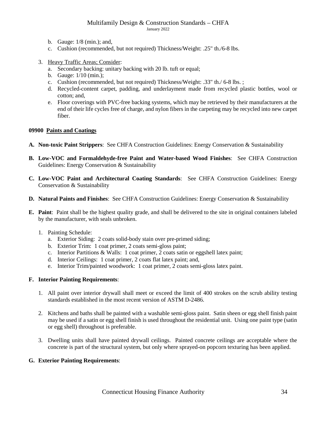- b. Gauge: 1/8 (min.); and,
- c. Cushion (recommended, but not required) Thickness/Weight: .25" th./6-8 lbs.
- 3. Heavy Traffic Areas; Consider:
	- a. Secondary backing: unitary backing with 20 lb. tuft or equal;
	- b. Gauge: 1/10 (min.);
	- c. Cushion (recommended, but not required) Thickness/Weight: .33" th./ 6-8 lbs. ;
	- d. Recycled-content carpet, padding, and underlayment made from recycled plastic bottles, wool or cotton; and,
	- e. Floor coverings with PVC-free backing systems, which may be retrieved by their manufacturers at the end of their life cycles free of charge, and nylon fibers in the carpeting may be recycled into new carpet fiber.

## **09900 Paints and Coatings**

- **A. Non-toxic Paint Strippers**:See CHFA Construction Guidelines: Energy Conservation & Sustainability
- **B. Low-VOC and Formaldehyde-free Paint and Water-based Wood Finishes**:See CHFA Construction Guidelines: Energy Conservation & Sustainability
- **C. Low-VOC Paint and Architectural Coating Standards**: See CHFA Construction Guidelines: Energy Conservation & Sustainability
- **D. Natural Paints and Finishes**: See CHFA Construction Guidelines: Energy Conservation & Sustainability
- **E. Paint**: Paint shall be the highest quality grade, and shall be delivered to the site in original containers labeled by the manufacturer, with seals unbroken.
	- 1. Painting Schedule:
		- a. Exterior Siding: 2 coats solid-body stain over pre-primed siding;
		- b. Exterior Trim: 1 coat primer, 2 coats semi-gloss paint;
		- c. Interior Partitions & Walls: 1 coat primer, 2 coats satin or eggshell latex paint;
		- d. Interior Ceilings: 1 coat primer, 2 coats flat latex paint; and,
		- e. Interior Trim/painted woodwork: 1 coat primer, 2 coats semi-gloss latex paint.

# **F. Interior Painting Requirements**:

- 1. All paint over interior drywall shall meet or exceed the limit of 400 strokes on the scrub ability testing standards established in the most recent version of ASTM D-2486.
- 2. Kitchens and baths shall be painted with a washable semi-gloss paint. Satin sheen or egg shell finish paint may be used if a satin or egg shell finish is used throughout the residential unit. Using one paint type (satin or egg shell) throughout is preferable.
- 3. Dwelling units shall have painted drywall ceilings. Painted concrete ceilings are acceptable where the concrete is part of the structural system, but only where sprayed-on popcorn texturing has been applied.

# **G. Exterior Painting Requirements**: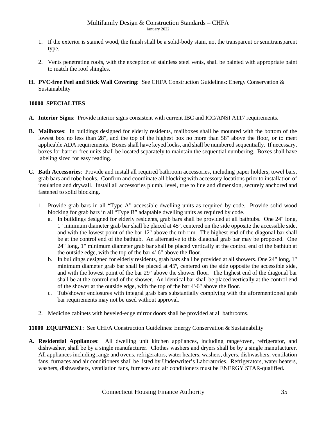- 1. If the exterior is stained wood, the finish shall be a solid-body stain, not the transparent or semitransparent type.
- 2. Vents penetrating roofs, with the exception of stainless steel vents, shall be painted with appropriate paint to match the roof shingles.
- **H. PVC-free Peel and Stick Wall Covering**: See CHFA Construction Guidelines: Energy Conservation & Sustainability

## <span id="page-34-0"></span>**10000 SPECIALTIES**

- **A. Interior Signs**: Provide interior signs consistent with current IBC and ICC/ANSI A117 requirements.
- **B. Mailboxes**:In buildings designed for elderly residents, mailboxes shall be mounted with the bottom of the lowest box no less than 28", and the top of the highest box no more than 58" above the floor, or to meet applicable ADA requirements. Boxes shall have keyed locks, and shall be numbered sequentially. If necessary, boxes for barrier-free units shall be located separately to maintain the sequential numbering. Boxes shall have labeling sized for easy reading.
- **C. Bath Accessories**: Provide and install all required bathroom accessories, including paper holders, towel bars, grab bars and robe hooks. Confirm and coordinate all blocking with accessory locations prior to installation of insulation and drywall. Install all accessories plumb, level, true to line and dimension, securely anchored and fastened to solid blocking.
	- 1. Provide grab bars in all "Type A" accessible dwelling units as required by code. Provide solid wood blocking for grab bars in all "Type B" adaptable dwelling units as required by code.
		- a. In buildings designed for elderly residents, grab bars shall be provided at all bathtubs. One 24" long, 1" minimum diameter grab bar shall be placed at 45º, centered on the side opposite the accessible side, and with the lowest point of the bar 12" above the tub rim. The highest end of the diagonal bar shall be at the control end of the bathtub. An alternative to this diagonal grab bar may be proposed. One 24" long, 1" minimum diameter grab bar shall be placed vertically at the control end of the bathtub at the outside edge, with the top of the bar 4'-6" above the floor.
		- b. In buildings designed for elderly residents, grab bars shall be provided at all showers. One 24" long, 1" minimum diameter grab bar shall be placed at 45º, centered on the side opposite the accessible side, and with the lowest point of the bar 29" above the shower floor. The highest end of the diagonal bar shall be at the control end of the shower. An identical bar shall be placed vertically at the control end of the shower at the outside edge, with the top of the bar 4'-6" above the floor.
		- c. Tub/shower enclosures with integral grab bars substantially complying with the aforementioned grab bar requirements may not be used without approval.
	- 2. Medicine cabinets with beveled-edge mirror doors shall be provided at all bathrooms.

<span id="page-34-1"></span>**11000 EQUIPMENT**: See CHFA Construction Guidelines: Energy Conservation & Sustainability

**A. Residential Appliances**: All dwelling unit kitchen appliances, including range/oven, refrigerator, and dishwasher, shall be by a single manufacturer. Clothes washers and dryers shall be by a single manufacturer. All appliances including range and ovens, refrigerators, water heaters, washers, dryers, dishwashers, ventilation fans, furnaces and air conditioners shall be listed by Underwriter's Laboratories. Refrigerators, water heaters, washers, dishwashers, ventilation fans, furnaces and air conditioners must be ENERGY STAR-qualified.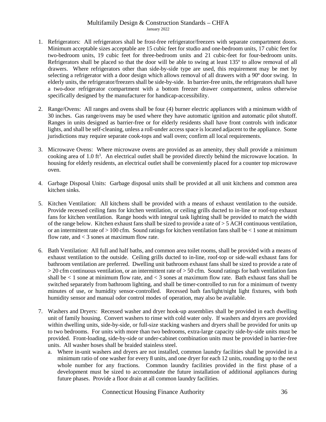- 1. Refrigerators: All refrigerators shall be frost-free refrigerator/freezers with separate compartment doors. Minimum acceptable sizes acceptable are 15 cubic feet for studio and one-bedroom units, 17 cubic feet for two-bedroom units, 19 cubic feet for three-bedroom units and 21 cubic-feet for four-bedroom units. Refrigerators shall be placed so that the door will be able to swing at least 135º to allow removal of all drawers. Where refrigerators other than side-by-side type are used, this requirement may be met by selecting a refrigerator with a door design which allows removal of all drawers with a 90º door swing.In elderly units, the refrigerator/freezers shall be side-by-side. In barrier-free units, the refrigerators shall have a two-door refrigerator compartment with a bottom freezer drawer compartment, unless otherwise specifically designed by the manufacturer for handicap-accessibility.
- 2. Range/Ovens: All ranges and ovens shall be four (4) burner electric appliances with a minimum width of 30 inches. Gas range/ovens may be used where they have automatic ignition and automatic pilot shutoff. Ranges in units designed as barrier-free or for elderly residents shall have front controls with indicator lights, and shall be self-cleaning, unless a roll-under access space is located adjacent to the appliance. Some jurisdictions may require separate cook-tops and wall oven; confirm all local requirements.
- 3. Microwave Ovens: Where microwave ovens are provided as an amenity, they shall provide a minimum cooking area of 1.0 ft<sup>3</sup>. An electrical outlet shall be provided directly behind the microwave location. In housing for elderly residents, an electrical outlet shall be conveniently placed for a counter top microwave oven.
- 4. Garbage Disposal Units: Garbage disposal units shall be provided at all unit kitchens and common area kitchen sinks.
- 5. Kitchen Ventilation: All kitchens shall be provided with a means of exhaust ventilation to the outside. Provide recessed ceiling fans for kitchen ventilation, or ceiling grills ducted to in-line or roof-top exhaust fans for kitchen ventilation. Range hoods with integral task lighting shall be provided to match the width of the range below. Kitchen exhaust fans shall be sized to provide a rate of  $>$  5 ACH continuous ventilation, or an intermittent rate of > 100 cfm. Sound ratings for kitchen ventilation fans shall be < 1 sone at minimum flow rate, and  $<$  3 sones at maximum flow rate.
- 6. Bath Ventilation: All full and half baths, and common area toilet rooms, shall be provided with a means of exhaust ventilation to the outside. Ceiling grills ducted to in-line, roof-top or side-wall exhaust fans for bathroom ventilation are preferred. Dwelling unit bathroom exhaust fans shall be sized to provide a rate of  $>$  20 cfm continuous ventilation, or an intermittent rate of  $>$  50 cfm. Sound ratings for bath ventilation fans shall be  $\lt 1$  sone at minimum flow rate, and  $\lt 3$  sones at maximum flow rate. Bath exhaust fans shall be switched separately from bathroom lighting, and shall be timer-controlled to run for a minimum of twenty minutes of use, or humidity sensor-controlled. Recessed bath fan/light/night light fixtures, with both humidity sensor and manual odor control modes of operation, may also be available.
- 7. Washers and Dryers: Recessed washer and dryer hook-up assemblies shall be provided in each dwelling unit of family housing. Convert washers to rinse with cold water only. If washers and dryers are provided within dwelling units, side-by-side, or full-size stacking washers and dryers shall be provided for units up to two bedrooms. For units with more than two bedrooms, extra-large capacity side-by-side units must be provided. Front-loading, side-by-side or under-cabinet combination units must be provided in barrier-free units. All washer hoses shall be braided stainless steel.
	- a. Where in-unit washers and dryers are not installed, common laundry facilities shall be provided in a minimum ratio of one washer for every 8 units, and one dryer for each 12 units, rounding up to the next whole number for any fractions. Common laundry facilities provided in the first phase of a development must be sized to accommodate the future installation of additional appliances during future phases. Provide a floor drain at all common laundry facilities.

Connecticut Housing Finance Authority 36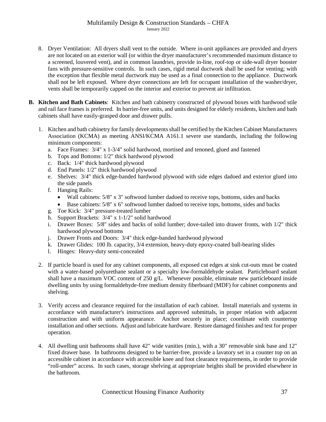- 8. Dryer Ventilation: All dryers shall vent to the outside. Where in-unit appliances are provided and dryers are not located on an exterior wall (or within the dryer manufacturer's recommended maximum distance to a screened, louvered vent), and in common laundries, provide in-line, roof-top or side-wall dryer booster fans with pressure-sensitive controls. In such cases, rigid metal ductwork shall be used for venting; with the exception that flexible metal ductwork may be used as a final connection to the appliance. Ductwork shall not be left exposed. Where dryer connections are left for occupant installation of the washer/dryer, vents shall be temporarily capped on the interior and exterior to prevent air infiltration.
- **B. Kitchen and Bath Cabinets**: Kitchen and bath cabinetry constructed of plywood boxes with hardwood stile and rail face frames is preferred. In barrier-free units, and units designed for elderly residents, kitchen and bath cabinets shall have easily-grasped door and drawer pulls.
	- 1. Kitchen and bath cabinetry for family developments shall be certified by the Kitchen Cabinet Manufacturers Association (KCMA) as meeting ANSI/KCMA A161.1 severe use standards, including the following minimum components:
		- a. Face Frames: 3/4" x 1-3/4" solid hardwood, mortised and tenoned, glued and fastened
		- b. Tops and Bottoms: 1/2" thick hardwood plywood
		- c. Back: 1/4" thick hardwood plywood
		- d. End Panels: 1/2" thick hardwood plywood
		- e. Shelves: 3/4" thick edge-banded hardwood plywood with side edges dadoed and exterior glued into the side panels
		- f. Hanging Rails:
			- Wall cabinets:  $5/8$ " x 3" softwood lumber dadoed to receive tops, bottoms, sides and backs
			- Base cabinets:  $5/8$ " x 6" softwood lumber dadoed to receive tops, bottoms, sides and backs
		- g. Toe Kick: 3/4" pressure-treated lumber
		- h. Support Brackets: 3/4" x 1-1/2" solid hardwood
		- i. Drawer Boxes: 5/8" sides and backs of solid lumber; dove-tailed into drawer fronts, with 1/2" thick hardwood plywood bottoms
		- j. Drawer Fronts and Doors: 3/4" thick edge-banded hardwood plywood
		- k. Drawer Glides: 100 lb. capacity, 3/4 extension, heavy-duty epoxy-coated ball-bearing slides
		- l. Hinges: Heavy-duty semi-concealed
	- 2. If particle board is used for any cabinet components, all exposed cut edges at sink cut-outs must be coated with a water-based polyurethane sealant or a specialty low-formaldehyde sealant. Particleboard sealant shall have a maximum VOC content of 250 g/L. Whenever possible, eliminate new particleboard inside dwelling units by using formaldehyde-free medium density fiberboard (MDF) for cabinet components and shelving.
	- 3. Verify access and clearance required for the installation of each cabinet. Install materials and systems in accordance with manufacturer's instructions and approved submittals, in proper relation with adjacent construction and with uniform appearance. Anchor securely in place; coordinate with countertop installation and other sections. Adjust and lubricate hardware. Restore damaged finishes and test for proper operation.
	- 4. All dwelling unit bathrooms shall have 42" wide vanities (min.), with a 30" removable sink base and 12" fixed drawer base. In bathrooms designed to be barrier-free, provide a lavatory set in a counter top on an accessible cabinet in accordance with accessible knee and foot clearance requirements, in order to provide "roll-under" access. In such cases, storage shelving at appropriate heights shall be provided elsewhere in the bathroom.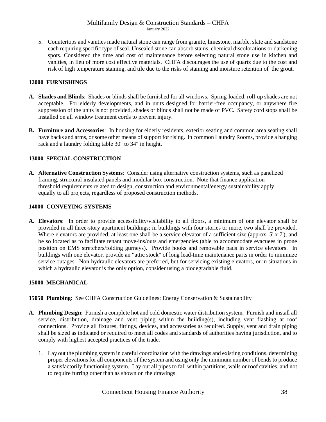5. Countertops and vanities made natural stone can range from granite, limestone, marble, slate and sandstone each requiring specific type of seal. Unsealed stone can absorb stains, chemical discolorations or darkening spots. Considered the time and cost of maintenance before selecting natural stone use in kitchen and vanities, in lieu of more cost effective materials. CHFA discourages the use of quartz due to the cost and risk of high temperature staining, and tile due to the risks of staining and moisture retention of the grout.

## <span id="page-37-0"></span>**12000 FURNISHINGS**

- **A. Shades and Blinds**: Shades or blinds shall be furnished for all windows. Spring-loaded, roll-up shades are not acceptable. For elderly developments, and in units designed for barrier-free occupancy, or anywhere fire suppression of the units is not provided, shades or blinds shall not be made of PVC. Safety cord stops shall be installed on all window treatment cords to prevent injury.
- **B. Furniture and Accessories**: In housing for elderly residents, exterior seating and common area seating shall have backs and arms, or some other means of support for rising. In common Laundry Rooms, provide a hanging rack and a laundry folding table 30" to 34" in height.

# <span id="page-37-1"></span>**13000 SPECIAL CONSTRUCTION**

**A. Alternative Construction Systems**: Consider using alternative construction systems, such as panelized framing, structural insulated panels and modular box construction. Note that finance application threshold requirements related to design, construction and environmental/energy sustainability apply equally to all projects, regardless of proposed construction methods.

## <span id="page-37-2"></span>**14000 CONVEYING SYSTEMS**

**A. Elevators**: In order to provide accessibility/visitability to all floors, a minimum of one elevator shall be provided in all three-story apartment buildings; in buildings with four stories or more, two shall be provided. Where elevators are provided, at least one shall be a service elevator of a sufficient size (approx. 5' x 7'), and be so located as to facilitate tenant move-ins/outs and emergencies (able to accommodate evacuees in prone position on EMS stretchers/folding gurneys). Provide hooks and removable pads in service elevators. In buildings with one elevator, provide an "attic stock" of long lead-time maintenance parts in order to minimize service outages. Non-hydraulic elevators are preferred, but for servicing existing elevators, or in situations in which a hydraulic elevator is the only option, consider using a biodegradable fluid.

## <span id="page-37-3"></span>**15000 MECHANICAL**

**15050 Plumbing**: See CHFA Construction Guidelines: Energy Conservation & Sustainability

- **A. Plumbing Design**: Furnish a complete hot and cold domestic water distribution system. Furnish and install all service, distribution, drainage and vent piping within the building(s), including vent flashing at roof connections. Provide all fixtures, fittings, devices, and accessories as required. Supply, vent and drain piping shall be sized as indicated or required to meet all codes and standards of authorities having jurisdiction, and to comply with highest accepted practices of the trade.
	- 1. Lay out the plumbing system in careful coordination with the drawings and existing conditions, determining proper elevations for all components of the system and using only the minimum number of bends to produce a satisfactorily functioning system. Lay out all pipes to fall within partitions, walls or roof cavities, and not to require furring other than as shown on the drawings.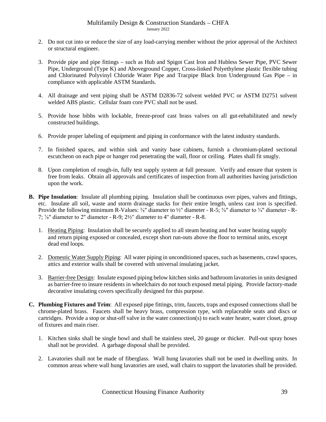- 2. Do not cut into or reduce the size of any load-carrying member without the prior approval of the Architect or structural engineer.
- 3. Provide pipe and pipe fittings such as Hub and Spigot Cast Iron and Hubless Sewer Pipe, PVC Sewer Pipe, Underground (Type K) and Aboveground Copper, Cross-linked Polyethylene plastic flexible tubing and Chlorinated Polyvinyl Chloride Water Pipe and Tracpipe Black Iron Underground Gas Pipe – in compliance with applicable ASTM Standards.
- 4. All drainage and vent piping shall be ASTM D2836-72 solvent welded PVC or ASTM D2751 solvent welded ABS plastic. Cellular foam core PVC shall not be used.
- 5. Provide hose bibbs with lockable, freeze-proof cast brass valves on all gut-rehabilitated and newly constructed buildings.
- 6. Provide proper labeling of equipment and piping in conformance with the latest industry standards.
- 7. In finished spaces, and within sink and vanity base cabinets, furnish a chromium-plated sectional escutcheon on each pipe or hanger rod penetrating the wall, floor or ceiling. Plates shall fit snugly.
- 8. Upon completion of rough-in, fully test supply system at full pressure. Verify and ensure that system is free from leaks. Obtain all approvals and certificates of inspection from all authorities having jurisdiction upon the work.
- **B. Pipe Insulation**: Insulate all plumbing piping. Insulation shall be continuous over pipes, valves and fittings, etc. Insulate all soil, waste and storm drainage stacks for their entire length, unless cast iron is specified. Provide the following minimum R-Values:  $\frac{3}{8}$ " diameter to  $\frac{1}{2}$ " diameter - R-5;  $\frac{5}{8}$ " diameter to  $\frac{3}{4}$ " diameter - R-7; ⅞" diameter to 2" diameter - R-9; 2½" diameter to 4" diameter - R-8.
	- 1. Heating Piping: Insulation shall be securely applied to all steam heating and hot water heating supply and return piping exposed or concealed, except short run-outs above the floor to terminal units, except dead end loops.
	- 2. Domestic Water Supply Piping: All water piping in unconditioned spaces, such as basements, crawl spaces, attics and exterior walls shall be covered with universal insulating jacket.
	- 3. Barrier-free Design: Insulate exposed piping below kitchen sinks and bathroom lavatories in units designed as barrier-free to insure residents in wheelchairs do not touch exposed metal piping. Provide factory-made decorative insulating covers specifically designed for this purpose.
- **C. Plumbing Fixtures and Trim**: All exposed pipe fittings, trim, faucets, traps and exposed connections shall be chrome-plated brass. Faucets shall be heavy brass, compression type, with replaceable seats and discs or cartridges. Provide a stop or shut-off valve in the water connection(s) to each water heater, water closet, group of fixtures and main riser.
	- 1. Kitchen sinks shall be single bowl and shall be stainless steel, 20 gauge or thicker. Pull-out spray hoses shall not be provided.A garbage disposal shall be provided.
	- 2. Lavatories shall not be made of fiberglass.Wall hung lavatories shall not be used in dwelling units. In common areas where wall hung lavatories are used, wall chairs to support the lavatories shall be provided.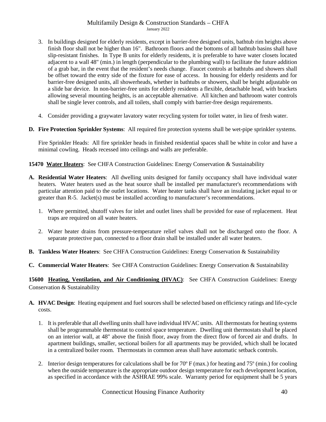- 3. In buildings designed for elderly residents, except in barrier-free designed units, bathtub rim heights above finish floor shall not be higher than 16". Bathroom floors and the bottoms of all bathtub basins shall have slip-resistant finishes. In Type B units for elderly residents, it is preferable to have water closets located adjacent to a wall 48" (min.) in length (perpendicular to the plumbing wall) to facilitate the future addition of a grab bar, in the event that the resident's needs change. Faucet controls at bathtubs and showers shall be offset toward the entry side of the fixture for ease of access. In housing for elderly residents and for barrier-free designed units, all showerheads, whether in bathtubs or showers, shall be height adjustable on a slide bar device. In non-barrier-free units for elderly residents a flexible, detachable head, with brackets allowing several mounting heights, is an acceptable alternative. All kitchen and bathroom water controls shall be single lever controls, and all toilets, shall comply with barrier-free design requirements.
- 4. Consider providing a graywater lavatory water recycling system for toilet water, in lieu of fresh water.
- **D. Fire Protection Sprinkler Systems**: All required fire protection systems shall be wet-pipe sprinkler systems.

Fire Sprinkler Heads: All fire sprinkler heads in finished residential spaces shall be white in color and have a minimal cowling. Heads recessed into ceilings and walls are preferable.

## **15470 Water Heaters**: See CHFA Construction Guidelines: Energy Conservation & Sustainability

- **A. Residential Water Heaters**:All dwelling units designed for family occupancy shall have individual water heaters. Water heaters used as the heat source shall be installed per manufacturer's recommendations with particular attention paid to the outlet locations. Water heater tanks shall have an insulating jacket equal to or greater than R-5. Jacket(s) must be installed according to manufacturer's recommendations.
	- 1. Where permitted, shutoff valves for inlet and outlet lines shall be provided for ease of replacement. Heat traps are required on all water heaters.
	- 2. Water heater drains from pressure-temperature relief valves shall not be discharged onto the floor. A separate protective pan, connected to a floor drain shall be installed under all water heaters.
- **B. Tankless Water Heaters**: See CHFA Construction Guidelines: Energy Conservation & Sustainability
- **C. Commercial Water Heaters**: See CHFA Construction Guidelines: Energy Conservation & Sustainability

**15600 Heating, Ventilation, and Air Conditioning (HVAC)**: See CHFA Construction Guidelines: Energy Conservation & Sustainability

- **A. HVAC Design**: Heating equipment and fuel sources shall be selected based on efficiency ratings and life-cycle costs.
	- 1. It is preferable that all dwelling units shall have individual HVAC units. All thermostats for heating systems shall be programmable thermostat to control space temperature. Dwelling unit thermostats shall be placed on an interior wall, at 48" above the finish floor, away from the direct flow of forced air and drafts. In apartment buildings, smaller, sectional boilers for all apartments may be provided, which shall be located in a centralized boiler room. Thermostats in common areas shall have automatic setback controls.
	- 2. Interior design temperatures for calculations shall be for 70º F (max.) for heating and 75º (min.) for cooling when the outside temperature is the appropriate outdoor design temperature for each development location, as specified in accordance with the ASHRAE 99% scale. Warranty period for equipment shall be 5 years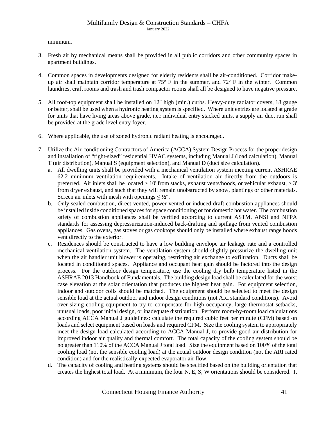minimum.

- 3. Fresh air by mechanical means shall be provided in all public corridors and other community spaces in apartment buildings.
- 4. Common spaces in developments designed for elderly residents shall be air-conditioned. Corridor makeup air shall maintain corridor temperature at 75º F in the summer, and 72º F in the winter. Common laundries, craft rooms and trash and trash compactor rooms shall all be designed to have negative pressure.
- 5. All roof-top equipment shall be installed on 12" high (min.) curbs. Heavy-duty radiator covers, 18 gauge or better, shall be used when a hydronic heating system is specified. Where unit entries are located at grade for units that have living areas above grade, i.e.: individual entry stacked units, a supply air duct run shall be provided at the grade level entry foyer.
- 6. Where applicable, the use of zoned hydronic radiant heating is encouraged.
- 7. Utilize the Air-conditioning Contractors of America (ACCA) System Design Process for the proper design and installation of "right-sized" residential HVAC systems, including Manual J (load calculation), Manual T (air distribution), Manual S (equipment selection), and Manual D (duct size calculation).
	- a. All dwelling units shall be provided with a mechanical ventilation system meeting current ASHRAE 62.2 minimum ventilation requirements. Intake of ventilation air directly from the outdoors is preferred. Air inlets shall be located > 10' from stacks, exhaust vents/hoods, or vehicular exhaust, > 3' from dryer exhaust, and such that they will remain unobstructed by snow, plantings or other materials. Screen air inlets with mesh with openings  $\langle \frac{1}{2} \rangle$ .
	- b. Only sealed combustion, direct-vented, power-vented or induced-draft combustion appliances should be installed inside conditioned spaces for space conditioning or for domestic hot water. The combustion safety of combustion appliances shall be verified according to current ASTM, ANSI and NFPA standards for assessing depressurization-induced back-drafting and spillage from vented combustion appliances. Gas ovens, gas stoves or gas cooktops should only be installed where exhaust range hoods vent directly to the exterior.
	- c. Residences should be constructed to have a low building envelope air leakage rate and a controlled mechanical ventilation system. The ventilation system should slightly pressurize the dwelling unit when the air handler unit blower is operating, restricting air exchange to exfiltration. Ducts shall be located in conditioned spaces.Appliance and occupant heat gain should be factored into the design process. For the outdoor design temperature, use the cooling dry bulb temperature listed in the ASHRAE 2013 Handbook of Fundamentals. The building design load shall be calculated for the worst case elevation at the solar orientation that produces the highest heat gain. For equipment selection, indoor and outdoor coils should be matched. The equipment should be selected to meet the design sensible load at the actual outdoor and indoor design conditions (not ARI standard conditions). Avoid over-sizing cooling equipment to try to compensate for high occupancy, large thermostat setbacks, unusual loads, poor initial design, or inadequate distribution. Perform room-by-room load calculations according ACCA Manual J guidelines: calculate the required cubic feet per minute (CFM) based on loads and select equipment based on loads and required CFM. Size the cooling system to appropriately meet the design load calculated according to ACCA Manual J, to provide good air distribution for improved indoor air quality and thermal comfort. The total capacity of the cooling system should be no greater than 110% of the ACCA Manual J total load. Size the equipment based on 100% of the total cooling load (not the sensible cooling load) at the actual outdoor design condition (not the ARI rated condition) and for the realistically-expected evaporator air flow.
	- d. The capacity of cooling and heating systems should be specified based on the building orientation that creates the highest total load. At a minimum, the four N, E, S, W orientations should be considered. It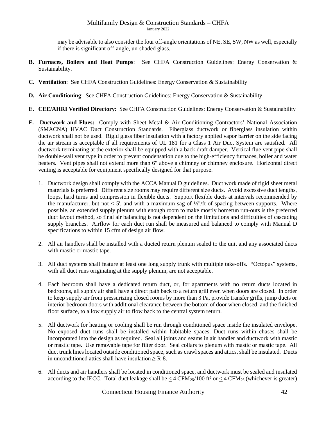may be advisable to also consider the four off-angle orientations of NE, SE, SW, NW as well, especially if there is significant off-angle, un-shaded glass.

- **B. Furnaces, Boilers and Heat Pumps**: See CHFA Construction Guidelines: Energy Conservation & Sustainability.
- **C. Ventilation**:See CHFA Construction Guidelines: Energy Conservation & Sustainability
- **D. Air Conditioning**:See CHFA Construction Guidelines: Energy Conservation & Sustainability
- **E. CEE/AHRI Verified Directory**: See CHFA Construction Guidelines: Energy Conservation & Sustainability
- **F. Ductwork and Flues:** Comply with Sheet Metal & Air Conditioning Contractors' National Association (SMACNA) HVAC Duct Construction Standards. Fiberglass ductwork or fiberglass insulation within ductwork shall not be used. Rigid glass fiber insulation with a factory applied vapor barrier on the side facing the air stream is acceptable if all requirements of UL 181 for a Class 1 Air Duct System are satisfied. All ductwork terminating at the exterior shall be equipped with a back draft damper. Vertical flue vent pipe shall be double-wall vent type in order to prevent condensation due to the high-efficiency furnaces, boiler and water heaters. Vent pipes shall not extend more than 6" above a chimney or chimney enclosure. Horizontal direct venting is acceptable for equipment specifically designed for that purpose.
	- 1. Ductwork design shall comply with the ACCA Manual D guidelines. Duct work made of rigid sheet metal materials is preferred. Different size rooms may require different size ducts. Avoid excessive duct lengths, loops, hard turns and compression in flexible ducts. Support flexible ducts at intervals recommended by the manufacturer, but not  $\lt 5'$ , and with a maximum sag of  $\frac{1}{2}$ "/ft of spacing between supports. Where possible, an extended supply plenum with enough room to make mostly homerun run-outs is the preferred duct layout method, so final air balancing is not dependent on the limitations and difficulties of cascading supply branches. Airflow for each duct run shall be measured and balanced to comply with Manual D specifications to within 15 cfm of design air flow.
	- 2. All air handlers shall be installed with a ducted return plenum sealed to the unit and any associated ducts with mastic or mastic tape.
	- 3. All duct systems shall feature at least one long supply trunk with multiple take-offs. "Octopus" systems, with all duct runs originating at the supply plenum, are not acceptable.
	- 4. Each bedroom shall have a dedicated return duct, or, for apartments with no return ducts located in bedrooms, all supply air shall have a direct path back to a return grill even when doors are closed. In order to keep supply air from pressurizing closed rooms by more than 3 Pa, provide transfer grills, jump ducts or interior bedroom doors with additional clearance between the bottom of door when closed, and the finished floor surface, to allow supply air to flow back to the central system return.
	- 5. All ductwork for heating or cooling shall be run through conditioned space inside the insulated envelope. No exposed duct runs shall be installed within habitable spaces. Duct runs within chases shall be incorporated into the design as required. Seal all joints and seams in air handler and ductwork with mastic or mastic tape. Use removable tape for filter door. Seal collars to plenum with mastic or mastic tape. All duct trunk lines located outside conditioned space, such as crawl spaces and attics, shall be insulated. Ducts in unconditioned attics shall have insulation  $>$  R-8.
	- 6. All ducts and air handlers shall be located in conditioned space, and ductwork must be sealed and insulated according to the IECC. Total duct leakage shall be  $<$  4 CFM<sub>25</sub>/100 ft<sup>2</sup> or  $<$  4 CFM<sub>25</sub> (whichever is greater)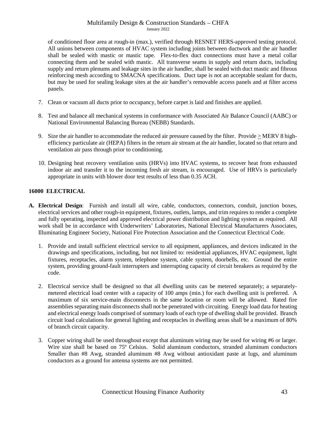of conditioned floor area at rough-in (max.), verified through RESNET HERS-approved testing protocol. All unions between components of HVAC system including joints between ductwork and the air handler shall be sealed with mastic or mastic tape. Flex-to-flex duct connections must have a metal collar connecting them and be sealed with mastic. All transverse seams in supply and return ducts, including supply and return plenums and leakage sites in the air handler, shall be sealed with duct mastic and fibrous reinforcing mesh according to SMACNA specifications. Duct tape is not an acceptable sealant for ducts, but may be used for sealing leakage sites at the air handler's removable access panels and at filter access panels.

- 7. Clean or vacuum all ducts prior to occupancy, before carpet is laid and finishes are applied.
- 8. Test and balance all mechanical systems in conformance with Associated Air Balance Council (AABC) or National Environmental Balancing Bureau (NEBB) Standards.
- 9. Size the air handler to accommodate the reduced air pressure caused by the filter. Provide > MERV 8 highefficiency particulate air (HEPA) filters in the return air stream at the air handler, located so that return and ventilation air pass through prior to conditioning.
- 10. Designing heat recovery ventilation units (HRVs) into HVAC systems, to recover heat from exhausted indoor air and transfer it to the incoming fresh air stream, is encouraged. Use of HRVs is particularly appropriate in units with blower door test results of less than 0.35 ACH.

# <span id="page-42-0"></span>**16000 ELECTRICAL**

- **A. Electrical Design**: Furnish and install all wire, cable, conductors, connectors, conduit, junction boxes, electrical services and other rough-in equipment, fixtures, outlets, lamps, and trim requires to render a complete and fully operating, inspected and approved electrical power distribution and lighting system as required. All work shall be in accordance with Underwriters' Laboratories, National Electrical Manufacturers Associates, Illuminating Engineer Society, National Fire Protection Association and the Connecticut Electrical Code.
	- 1. Provide and install sufficient electrical service to all equipment, appliances, and devices indicated in the drawings and specifications, including, but not limited to: residential appliances, HVAC equipment, light fixtures, receptacles, alarm system, telephone system, cable system, doorbells, etc. Ground the entire system, providing ground-fault interrupters and interrupting capacity of circuit breakers as required by the code.
	- 2. Electrical service shall be designed so that all dwelling units can be metered separately; a separatelymetered electrical load center with a capacity of 100 amps (min.) for each dwelling unit is preferred. A maximum of six service-main disconnects in the same location or room will be allowed. Rated fire assemblies separating main disconnects shall not be penetrated with circuiting. Energy load data for heating and electrical energy loads comprised of summary loads of each type of dwelling shall be provided. Branch circuit load calculations for general lighting and receptacles in dwelling areas shall be a maximum of 80% of branch circuit capacity.
	- 3. Copper wiring shall be used throughout except that aluminum wiring may be used for wiring #6 or larger. Wire size shall be based on 75º Celsius. Solid aluminum conductors, stranded aluminum conductors Smaller than #8 Awg, stranded aluminum #8 Awg without antioxidant paste at lugs, and aluminum conductors as a ground for antenna systems are not permitted.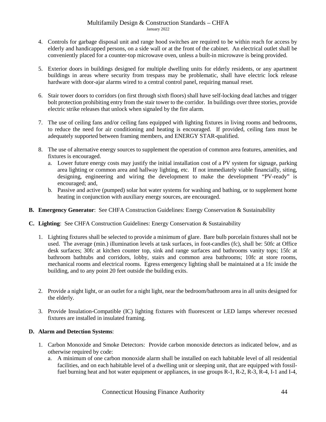- 4. Controls for garbage disposal unit and range hood switches are required to be within reach for access by elderly and handicapped persons, on a side wall or at the front of the cabinet. An electrical outlet shall be conveniently placed for a counter-top microwave oven, unless a built-in microwave is being provided.
- 5. Exterior doors in buildings designed for multiple dwelling units for elderly residents, or any apartment buildings in areas where security from trespass may be problematic, shall have electric lock release hardware with door-ajar alarms wired to a central control panel, requiring manual reset.
- 6. Stair tower doors to corridors (on first through sixth floors) shall have self-locking dead latches and trigger bolt protection prohibiting entry from the stair tower to the corridor. In buildings over three stories, provide electric strike releases that unlock when signaled by the fire alarm.
- 7. The use of ceiling fans and/or ceiling fans equipped with lighting fixtures in living rooms and bedrooms, to reduce the need for air conditioning and heating is encouraged. If provided, ceiling fans must be adequately supported between framing members, and ENERGY STAR-qualified.
- 8. The use of alternative energy sources to supplement the operation of common area features, amenities, and fixtures is encouraged.
	- a. Lower future energy costs may justify the initial installation cost of a PV system for signage, parking area lighting or common area and hallway lighting, etc. If not immediately viable financially, siting, designing, engineering and wiring the development to make the development "PV-ready" is encouraged; and,
	- b. Passive and active (pumped) solar hot water systems for washing and bathing, or to supplement home heating in conjunction with auxiliary energy sources, are encouraged.
- **B. Emergency Generator**: See CHFA Construction Guidelines: Energy Conservation & Sustainability
- **C. Lighting**: See CHFA Construction Guidelines: Energy Conservation & Sustainability
	- 1. Lighting fixtures shall be selected to provide a minimum of glare. Bare bulb porcelain fixtures shall not be used. The average (min.) illumination levels at task surfaces, in foot-candles (fc), shall be: 50fc at Office desk surfaces; 30fc at kitchen counter top, sink and range surfaces and bathrooms vanity tops; 15fc at bathroom bathtubs and corridors, lobby, stairs and common area bathrooms; 10fc at store rooms, mechanical rooms and electrical rooms.Egress emergency lighting shall be maintained at a 1fc inside the building, and to any point 20 feet outside the building exits.
	- 2. Provide a night light, or an outlet for a night light, near the bedroom/bathroom area in all units designed for the elderly.
	- 3. Provide Insulation-Compatible (IC) lighting fixtures with fluorescent or LED lamps wherever recessed fixtures are installed in insulated framing.

# **D. Alarm and Detection Systems**:

- 1. Carbon Monoxide and Smoke Detectors: Provide carbon monoxide detectors as indicated below, and as otherwise required by code:
	- a. A minimum of one carbon monoxide alarm shall be installed on each habitable level of all residential facilities, and on each habitable level of a dwelling unit or sleeping unit, that are equipped with fossilfuel burning heat and hot water equipment or appliances, in use groups R-1, R-2, R-3, R-4, I-1 and I-4,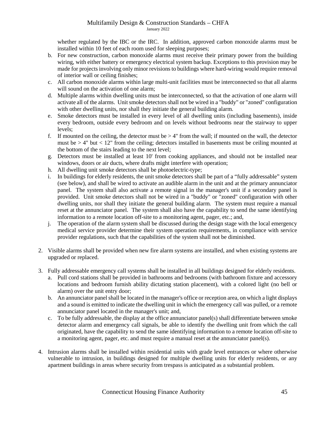whether regulated by the IBC or the IRC. In addition, approved carbon monoxide alarms must be installed within 10 feet of each room used for sleeping purposes;

- b. For new construction, carbon monoxide alarms must receive their primary power from the building wiring, with either battery or emergency electrical system backup. Exceptions to this provision may be made for projects involving only minor revisions to buildings where hard-wiring would require removal of interior wall or ceiling finishes;
- c. All carbon monoxide alarms within large multi-unit facilities must be interconnected so that all alarms will sound on the activation of one alarm:
- d. Multiple alarms within dwelling units must be interconnected, so that the activation of one alarm will activate all of the alarms. Unit smoke detectors shall not be wired in a "buddy" or "zoned" configuration with other dwelling units, nor shall they initiate the general building alarm.
- e. Smoke detectors must be installed in every level of all dwelling units (including basements), inside every bedroom, outside every bedroom and on levels without bedrooms near the stairway to upper levels;
- f. If mounted on the ceiling, the detector must be  $> 4$ " from the wall; if mounted on the wall, the detector must be  $> 4$ " but  $< 12$ " from the ceiling; detectors installed in basements must be ceiling mounted at the bottom of the stairs leading to the next level;
- g. Detectors must be installed at least 10' from cooking appliances, and should not be installed near windows, doors or air ducts, where drafts might interfere with operation;
- h. All dwelling unit smoke detectors shall be photoelectric-type;
- i. In buildings for elderly residents, the unit smoke detectors shall be part of a "fully addressable" system (see below), and shall be wired to activate an audible alarm in the unit and at the primary annunciator panel. The system shall also activate a remote signal in the manager's unit if a secondary panel is provided. Unit smoke detectors shall not be wired in a "buddy" or "zoned" configuration with other dwelling units, nor shall they initiate the general building alarm. The system must require a manual reset at the annunciator panel. The system shall also have the capability to send the same identifying information to a remote location off-site to a monitoring agent, pager, etc.; and,
- j. The operation of the alarm system shall be discussed during the design stage with the local emergency medical service provider determine their system operation requirements, in compliance with service provider regulations, such that the capabilities of the system shall not be diminished.
- 2. Visible alarms shall be provided when new fire alarm systems are installed, and when existing systems are upgraded or replaced.
- 3. Fully addressable emergency call systems shall be installed in all buildings designed for elderly residents.
	- a. Pull cord stations shall be provided in bathrooms and bedrooms (with bathroom fixture and accessory locations and bedroom furnish ability dictating station placement), with a colored light (no bell or alarm) over the unit entry door;
	- b. An annunciator panel shall be located in the manager's office or reception area, on which a light displays and a sound is emitted to indicate the dwelling unit in which the emergency call was pulled, or a remote annunciator panel located in the manager's unit; and,
	- c. To be fully addressable, the display at the office annunciator panel(s) shall differentiate between smoke detector alarm and emergency call signals, be able to identify the dwelling unit from which the call originated, have the capability to send the same identifying information to a remote location off-site to a monitoring agent, pager, etc. and must require a manual reset at the annunciator panel(s).
- 4. Intrusion alarms shall be installed within residential units with grade level entrances or where otherwise vulnerable to intrusion, in buildings designed for multiple dwelling units for elderly residents, or any apartment buildings in areas where security from trespass is anticipated as a substantial problem.